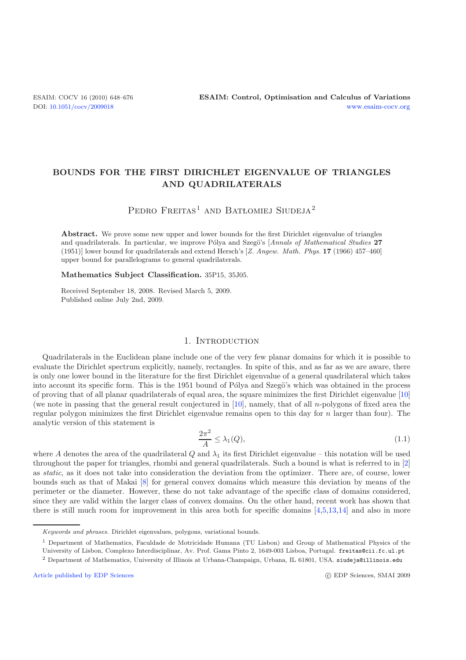# **BOUNDS FOR THE FIRST DIRICHLET EIGENVALUE OF TRIANGLES AND QUADRILATERALS**

# PEDRO FREITAS<sup>1</sup> AND BATLOMIEJ SIUDEJA<sup>2</sup>

**Abstract.** We prove some new upper and lower bounds for the first Dirichlet eigenvalue of triangles and quadrilaterals. In particular, we improve Pólya and Szegö's [*Annals of Mathematical Studies* 27 (1951)] lower bound for quadrilaterals and extend Hersch's [*Z. Angew. Math. Phys.* **17** (1966) 457–460] upper bound for parallelograms to general quadrilaterals.

**Mathematics Subject Classification.** 35P15, 35J05.

Received September 18, 2008. Revised March 5, 2009. Published online July 2nd, 2009.

### <span id="page-0-0"></span>1. INTRODUCTION

Quadrilaterals in the Euclidean plane include one of the very few planar domains for which it is possible to evaluate the Dirichlet spectrum explicitly, namely, rectangles. In spite of this, and as far as we are aware, there is only one lower bound in the literature for the first Dirichlet eigenvalue of a general quadrilateral which takes into account its specific form. This is the 1951 bound of Pólya and Szegö's which was obtained in the process of proving that of all planar quadrilaterals of equal area, the square minimizes the first Dirichlet eigenvalue [\[10](#page-28-0)] (we note in passing that the general result conjectured in  $[10]$  $[10]$ , namely, that of all *n*-polygons of fixed area the regular polygon minimizes the first Dirichlet eigenvalue remains open to this day for n larger than four). The analytic version of this statement is

$$
\frac{2\pi^2}{A} \le \lambda_1(Q),\tag{1.1}
$$

where A denotes the area of the quadrilateral Q and  $\lambda_1$  its first Dirichlet eigenvalue – this notation will be used throughout the paper for triangles, rhombi and general quadrilaterals. Such a bound is what is referred to in [\[2](#page-28-1)] as *static*, as it does not take into consideration the deviation from the optimizer. There are, of course, lower bounds such as that of Makai [\[8\]](#page-28-2) for general convex domains which measure this deviation by means of the perimeter or the diameter. However, these do not take advantage of the specific class of domains considered, since they are valid within the larger class of convex domains. On the other hand, recent work has shown that there is still much room for improvement in this area both for specific domains [\[4](#page-28-3)[,5](#page-28-4)[,13](#page-28-5)[,14](#page-28-6)] and also in more

<sup>1</sup> Department of Mathematics, Faculdade de Motricidade Humana (TU Lisbon) and Group of Mathematical Physics of the

[Article published by EDP Sciences](http://www.edpsciences.org)

*Keywords and phrases.* Dirichlet eigenvalues, polygons, variational bounds.

University of Lisbon, Complexo Interdisciplinar, Av. Prof. Gama Pinto 2, 1649-003 Lisboa, Portugal. freitas@cii.fc.ul.pt

<sup>2</sup> Department of Mathematics, University of Illinois at Urbana-Champaign, Urbana, IL 61801, USA. siudeja@illinois.edu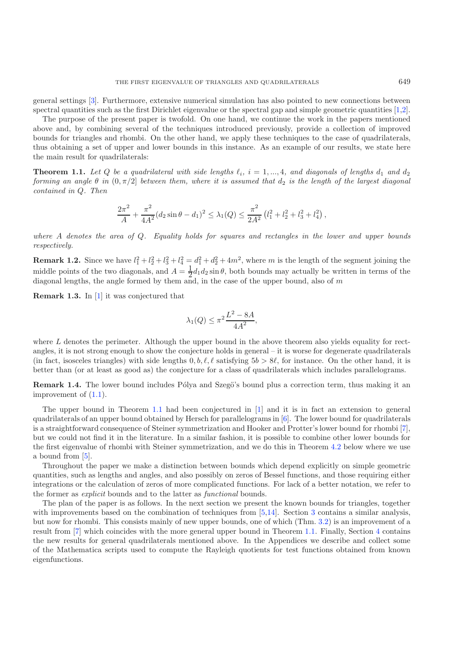general settings [\[3\]](#page-28-7). Furthermore, extensive numerical simulation has also pointed to new connections between spectral quantities such as the first Dirichlet eigenvalue or the spectral gap and simple geometric quantities [\[1](#page-28-8)[,2\]](#page-28-1).

The purpose of the present paper is twofold. On one hand, we continue the work in the papers mentioned above and, by combining several of the techniques introduced previously, provide a collection of improved bounds for triangles and rhombi. On the other hand, we apply these techniques to the case of quadrilaterals, thus obtaining a set of upper and lower bounds in this instance. As an example of our results, we state here the main result for quadrilaterals:

<span id="page-1-0"></span>**Theorem 1.1.** Let Q be a quadrilateral with side lengths  $\ell_i$ ,  $i = 1, ..., 4$ , and diagonals of lengths  $d_1$  and  $d_2$ *forming an angle*  $\theta$  *in*  $(0, \pi/2]$  *between them, where it is assumed that*  $d_2$  *is the length of the largest diagonal contained in* Q*. Then*

$$
\frac{2\pi^2}{A} + \frac{\pi^2}{4A^2} (d_2 \sin \theta - d_1)^2 \le \lambda_1(Q) \le \frac{\pi^2}{2A^2} (l_1^2 + l_2^2 + l_3^2 + l_4^2),
$$

*where* A *denotes the area of* Q*. Equality holds for squares and rectangles in the lower and upper bounds respectively.*

<span id="page-1-1"></span>**Remark 1.2.** Since we have  $l_1^2 + l_2^2 + l_3^2 + l_4^2 = d_1^2 + d_2^2 + 4m^2$ , where m is the length of the segment joining the middle points of the two diagonals, and  $A = \frac{1}{2}d_1d_2\sin\theta$ , both bounds may actually be written in terms of the diagonal lengths, the angle formed by them and, in the case of the upper bound, also of  $m$ 

<span id="page-1-2"></span>**Remark 1.3.** In [\[1\]](#page-28-8) it was conjectured that

$$
\lambda_1(Q) \le \pi^2 \frac{L^2 - 8A}{4A^2},
$$

where  $L$  denotes the perimeter. Although the upper bound in the above theorem also yields equality for rectangles, it is not strong enough to show the conjecture holds in general – it is worse for degenerate quadrilaterals (in fact, isosceles triangles) with side lengths  $0, b, \ell, \ell$  satisfying  $5b > 8\ell$ , for instance. On the other hand, it is better than (or at least as good as) the conjecture for a class of quadrilaterals which includes parallelograms.

<span id="page-1-3"></span>**Remark 1.4.** The lower bound includes Pólya and Szegö's bound plus a correction term, thus making it an improvement of [\(1.1\)](#page-0-0).

The upper bound in Theorem [1.1](#page-1-0) had been conjectured in [\[1](#page-28-8)] and it is in fact an extension to general quadrilaterals of an upper bound obtained by Hersch for parallelograms in [\[6\]](#page-28-9). The lower bound for quadrilaterals is a straightforward consequence of Steiner symmetrization and Hooker and Protter's lower bound for rhombi [\[7\]](#page-28-10), but we could not find it in the literature. In a similar fashion, it is possible to combine other lower bounds for the first eigenvalue of rhombi with Steiner symmetrization, and we do this in Theorem [4.2](#page-1-1) below where we use a bound from [\[5](#page-28-4)].

Throughout the paper we make a distinction between bounds which depend explicitly on simple geometric quantities, such as lengths and angles, and also possibly on zeros of Bessel functions, and those requiring either integrations or the calculation of zeros of more complicated functions. For lack of a better notation, we refer to the former as *explicit* bounds and to the latter as *functional* bounds.

The plan of the paper is as follows. In the next section we present the known bounds for triangles, together with improvements based on the combination of techniques from [\[5](#page-28-4)[,14](#page-28-6)]. Section [3](#page-11-0) contains a similar analysis, but now for rhombi. This consists mainly of new upper bounds, one of which (Thm. [3.2\)](#page-1-1) is an improvement of a result from [\[7](#page-28-10)] which coincides with the more general upper bound in Theorem [1.1.](#page-1-0) Finally, Section [4](#page-19-0) contains the new results for general quadrilaterals mentioned above. In the Appendices we describe and collect some of the Mathematica scripts used to compute the Rayleigh quotients for test functions obtained from known eigenfunctions.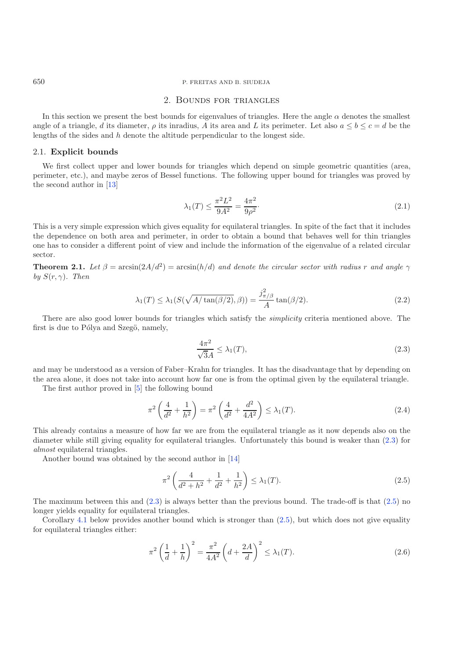### <span id="page-2-2"></span>2. Bounds for triangles

In this section we present the best bounds for eigenvalues of triangles. Here the angle  $\alpha$  denotes the smallest angle of a triangle, d its diameter,  $\rho$  its inradius, A its area and L its perimeter. Let also  $a \le b \le c = d$  be the lengths of the sides and h denote the altitude perpendicular to the longest side.

#### 2.1. **Explicit bounds**

We first collect upper and lower bounds for triangles which depend on simple geometric quantities (area, perimeter, etc.), and maybe zeros of Bessel functions. The following upper bound for triangles was proved by the second author in [\[13\]](#page-28-5)

<span id="page-2-4"></span><span id="page-2-0"></span>
$$
\lambda_1(T) \le \frac{\pi^2 L^2}{9A^2} = \frac{4\pi^2}{9\rho^2}.
$$
\n(2.1)

This is a very simple expression which gives equality for equilateral triangles. In spite of the fact that it includes the dependence on both area and perimeter, in order to obtain a bound that behaves well for thin triangles one has to consider a different point of view and include the information of the eigenvalue of a related circular sector.

**Theorem 2.1.** *Let*  $\beta = \arcsin(2A/d^2) = \arcsin(h/d)$  *and denote the circular sector with radius* r *and angle*  $\gamma$ *by*  $S(r, \gamma)$ *. Then* 

$$
\lambda_1(T) \le \lambda_1(S(\sqrt{A/\tan(\beta/2)}, \beta)) = \frac{j_{\pi/\beta}^2}{A} \tan(\beta/2). \tag{2.2}
$$

There are also good lower bounds for triangles which satisfy the *simplicity* criteria mentioned above. The first is due to Pólya and Szegö, namely,

<span id="page-2-3"></span><span id="page-2-1"></span>
$$
\frac{4\pi^2}{\sqrt{3}A} \le \lambda_1(T),\tag{2.3}
$$

and may be understood as a version of Faber–Krahn for triangles. It has the disadvantage that by depending on the area alone, it does not take into account how far one is from the optimal given by the equilateral triangle.

The first author proved in [\[5](#page-28-4)] the following bound

$$
\pi^2 \left( \frac{4}{d^2} + \frac{1}{h^2} \right) = \pi^2 \left( \frac{4}{d^2} + \frac{d^2}{4A^2} \right) \le \lambda_1(T). \tag{2.4}
$$

This already contains a measure of how far we are from the equilateral triangle as it now depends also on the diameter while still giving equality for equilateral triangles. Unfortunately this bound is weaker than [\(2.3\)](#page-2-0) for *almost* equilateral triangles.

Another bound was obtained by the second author in [\[14\]](#page-28-6)

$$
\pi^2 \left( \frac{4}{d^2 + h^2} + \frac{1}{d^2} + \frac{1}{h^2} \right) \le \lambda_1(T). \tag{2.5}
$$

The maximum between this and [\(2.3\)](#page-2-0) is always better than the previous bound. The trade-off is that [\(2.5\)](#page-2-1) no longer yields equality for equilateral triangles.

Corollary [4.1](#page-1-0) below provides another bound which is stronger than  $(2.5)$ , but which does not give equality for equilateral triangles either:

$$
\pi^2 \left( \frac{1}{d} + \frac{1}{h} \right)^2 = \frac{\pi^2}{4A^2} \left( d + \frac{2A}{d} \right)^2 \le \lambda_1(T). \tag{2.6}
$$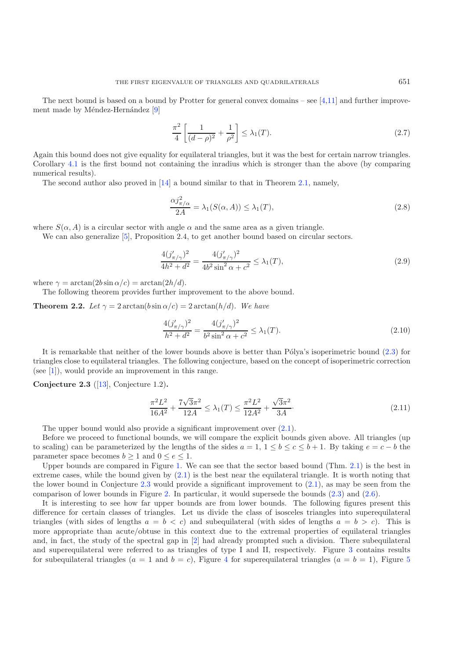<span id="page-3-3"></span><span id="page-3-1"></span>
$$
\frac{\pi^2}{4} \left[ \frac{1}{(d-\rho)^2} + \frac{1}{\rho^2} \right] \le \lambda_1(T). \tag{2.7}
$$

Again this bound does not give equality for equilateral triangles, but it was the best for certain narrow triangles. Corollary [4.1](#page-1-0) is the first bound not containing the inradius which is stronger than the above (by comparing numerical results).

The second author also proved in [\[14\]](#page-28-6) a bound similar to that in Theorem [2.1,](#page-1-0) namely,

<span id="page-3-2"></span>
$$
\frac{\alpha j_{\pi/\alpha}^2}{2A} = \lambda_1(S(\alpha, A)) \le \lambda_1(T),\tag{2.8}
$$

where  $S(\alpha, A)$  is a circular sector with angle  $\alpha$  and the same area as a given triangle.

We can also generalize [\[5](#page-28-4)], Proposition 2.4, to get another bound based on circular sectors.

$$
\frac{4(j'_{\pi/\gamma})^2}{4h^2 + d^2} = \frac{4(j'_{\pi/\gamma})^2}{4b^2 \sin^2 \alpha + c^2} \le \lambda_1(T),\tag{2.9}
$$

where  $\gamma = \arctan(2b \sin \alpha/c) = \arctan(2h/d)$ .

The following theorem provides further improvement to the above bound.

**Theorem 2.2.** *Let*  $\gamma = 2 \arctan(b \sin \alpha/c) = 2 \arctan(h/d)$ *. We have* 

<span id="page-3-0"></span>
$$
\frac{4(j'_{\pi/\gamma})^2}{h^2 + d^2} = \frac{4(j'_{\pi/\gamma})^2}{b^2 \sin^2 \alpha + c^2} \le \lambda_1(T). \tag{2.10}
$$

It is remarkable that neither of the lower bounds above is better than Pólya's isoperimetric bound  $(2.3)$  for triangles close to equilateral triangles. The following conjecture, based on the concept of isoperimetric correction (see [\[1\]](#page-28-8)), would provide an improvement in this range.

**Conjecture 2.3** ([\[13\]](#page-28-5), Conjecture 1.2)**.**

$$
\frac{\pi^2 L^2}{16A^2} + \frac{7\sqrt{3}\pi^2}{12A} \le \lambda_1(T) \le \frac{\pi^2 L^2}{12A^2} + \frac{\sqrt{3}\pi^2}{3A}.\tag{2.11}
$$

The upper bound would also provide a significant improvement over [\(2.1\)](#page-2-2).

Before we proceed to functional bounds, we will compare the explicit bounds given above. All triangles (up to scaling) can be parameterized by the lengths of the sides  $a = 1, 1 \leq b \leq c \leq b + 1$ . By taking  $e = c - b$  the parameter space becomes  $b \ge 1$  and  $0 \le e \le 1$ .

Upper bounds are compared in Figure [1.](#page-4-0) We can see that the sector based bound (Thm. [2.1\)](#page-1-0) is the best in extreme cases, while the bound given by  $(2.1)$  is the best near the equilateral triangle. It is worth noting that the lower bound in Conjecture  $2.3$  would provide a significant improvement to  $(2.1)$ , as may be seen from the comparison of lower bounds in Figure [2.](#page-4-1) In particular, it would supersede the bounds [\(2.3\)](#page-2-0) and [\(2.6\)](#page-2-3).

It is interesting to see how far upper bounds are from lower bounds. The following figures present this difference for certain classes of triangles. Let us divide the class of isosceles triangles into superequilateral triangles (with sides of lengths  $a = b < c$ ) and subequilateral (with sides of lengths  $a = b > c$ ). This is more appropriate than acute/obtuse in this context due to the extremal properties of equilateral triangles and, in fact, the study of the spectral gap in [\[2\]](#page-28-1) had already prompted such a division. There subequilateral and superequilateral were referred to as triangles of type I and II, respectively. Figure [3](#page-5-0) contains results for subequilateral triangles ( $a = 1$  and  $b = c$ ), Figure [4](#page-5-1) for superequilateral triangles ( $a = b = 1$ ), Figure [5](#page-6-0)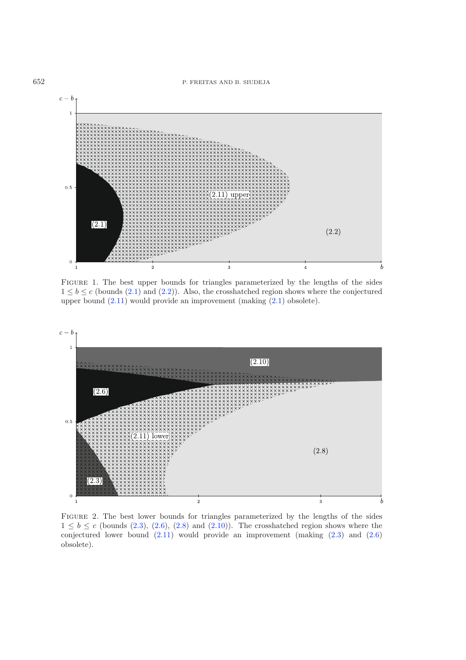<span id="page-4-0"></span>

Figure 1. The best upper bounds for triangles parameterized by the lengths of the sides  $1 \leq b \leq c$  (bounds [\(2.1\)](#page-2-2) and [\(2.2\)](#page-2-4)). Also, the crosshatched region shows where the conjectured upper bound [\(2.11\)](#page-3-0) would provide an improvement (making [\(2.1\)](#page-2-2) obsolete).

<span id="page-4-1"></span>

Figure 2. The best lower bounds for triangles parameterized by the lengths of the sides  $1 \leq b \leq c$  (bounds [\(2.3\)](#page-2-0), [\(2.6\)](#page-2-3), [\(2.8\)](#page-3-1) and [\(2.10\)](#page-3-2)). The crosshatched region shows where the conjectured lower bound [\(2.11\)](#page-3-0) would provide an improvement (making [\(2.3\)](#page-2-0) and [\(2.6\)](#page-2-3) obsolete).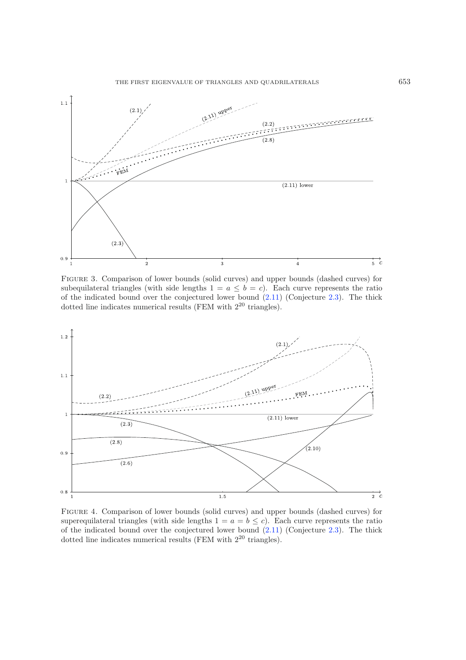<span id="page-5-0"></span>

Figure 3. Comparison of lower bounds (solid curves) and upper bounds (dashed curves) for subequilateral triangles (with side lengths  $1 = a \le b = c$ ). Each curve represents the ratio of the indicated bound over the conjectured lower bound  $(2.11)$  (Conjecture [2.3\)](#page-1-2). The thick dotted line indicates numerical results (FEM with  $2^{20}$  triangles).

<span id="page-5-1"></span>

Figure 4. Comparison of lower bounds (solid curves) and upper bounds (dashed curves) for superequilateral triangles (with side lengths  $1 = a = b \leq c$ ). Each curve represents the ratio of the indicated bound over the conjectured lower bound  $(2.11)$  (Conjecture [2.3\)](#page-1-2). The thick dotted line indicates numerical results (FEM with  $2^{20}$  triangles).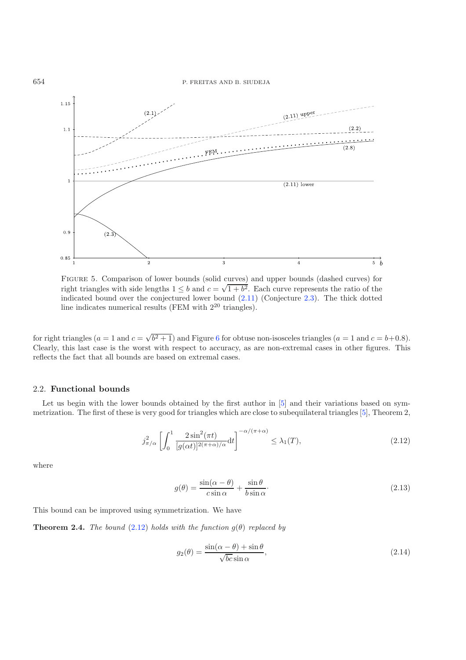<span id="page-6-0"></span>

Figure 5. Comparison of lower bounds (solid curves) and upper bounds (dashed curves) for right triangles with side lengths  $1 \leq b$  and  $c = \sqrt{1+b^2}$ . Each curve represents the ratio of the indicated bound over the conjectured lower bound [\(2.11\)](#page-3-0) (Conjecture [2.3\)](#page-1-2). The thick dotted line indicates numerical results (FEM with 2<sup>20</sup> triangles).

for right triangles  $(a = 1 \text{ and } c = \sqrt{b^2 + 1})$  and Figure [6](#page-7-0) for obtuse non-isosceles triangles  $(a = 1 \text{ and } c = b + 0.8)$ . Clearly, this last case is the worst with respect to accuracy, as are non-extremal cases in other figures. This reflects the fact that all bounds are based on extremal cases.

#### 2.2. **Functional bounds**

Let us begin with the lower bounds obtained by the first author in [\[5](#page-28-4)] and their variations based on symmetrization. The first of these is very good for triangles which are close to subequilateral triangles [\[5](#page-28-4)], Theorem 2,

<span id="page-6-1"></span>
$$
j_{\pi/\alpha}^2 \left[ \int_0^1 \frac{2\sin^2(\pi t)}{[g(\alpha t)]^{2(\pi+\alpha)/\alpha}} dt \right]^{-\alpha/(\pi+\alpha)} \leq \lambda_1(T),\tag{2.12}
$$

where

$$
g(\theta) = \frac{\sin(\alpha - \theta)}{c \sin \alpha} + \frac{\sin \theta}{b \sin \alpha}.
$$
 (2.13)

This bound can be improved using symmetrization. We have

**Theorem 2.4.** *The bound* [\(2.12\)](#page-6-1) *holds with the function*  $g(\theta)$  *replaced by* 

$$
g_2(\theta) = \frac{\sin(\alpha - \theta) + \sin \theta}{\sqrt{bc} \sin \alpha},
$$
\n(2.14)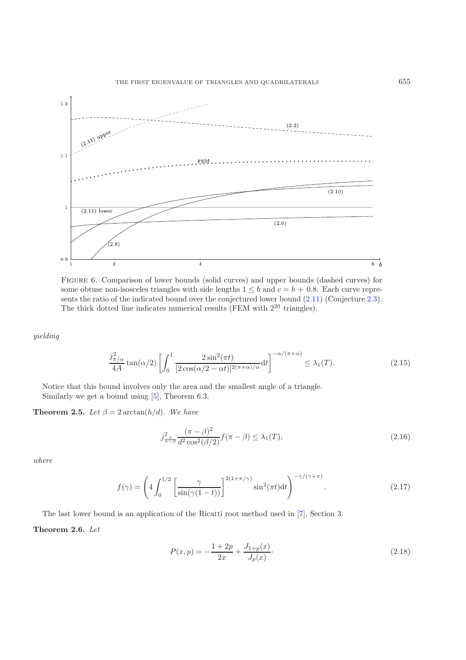<span id="page-7-0"></span>

Figure 6. Comparison of lower bounds (solid curves) and upper bounds (dashed curves) for some obtuse non-isosceles triangles with side lengths  $1 \leq b$  and  $c = b + 0.8$ . Each curve represents the ratio of the indicated bound over the conjectured lower bound [\(2.11\)](#page-3-0) (Conjecture [2.3\)](#page-1-2). The thick dotted line indicates numerical results (FEM with  $2^{20}$  triangles).

*yielding*

$$
\frac{j_{\pi/\alpha}^2}{4A}\tan(\alpha/2)\left[\int_0^1\frac{2\sin^2(\pi t)}{[2\cos(\alpha/2-\alpha t)]^{2(\pi+\alpha)/\alpha}}\mathrm{d}t\right]^{-\alpha/(\pi+\alpha)} \leq \lambda_1(T). \tag{2.15}
$$

Notice that this bound involves only the area and the smallest angle of a triangle. Similarly we get a bound using [\[5\]](#page-28-4), Theorem 6.3.

<span id="page-7-1"></span>**Theorem 2.5.** *Let*  $\beta = 2 \arctan(h/d)$ *. We have* 

$$
j_{\frac{\pi}{\pi-\beta}}^2 \frac{(\pi-\beta)^2}{d^2 \cos^2(\beta/2)} f(\pi-\beta) \le \lambda_1(T),
$$
\n(2.16)

*where*

$$
f(\gamma) = \left(4 \int_0^{1/2} \left[\frac{\gamma}{\sin(\gamma(1-t))}\right]^{2(1+\pi/\gamma)} \sin^2(\pi t) dt\right)^{-\gamma/(\gamma+\pi)}.
$$
 (2.17)

The last lower bound is an application of the Ricatti root method used in [\[7](#page-28-10)], Section 3.

# <span id="page-7-2"></span>**Theorem 2.6.** *Let*

$$
P(x,p) = -\frac{1+2p}{2x} + \frac{J_{1+p}(x)}{J_p(x)}.
$$
\n(2.18)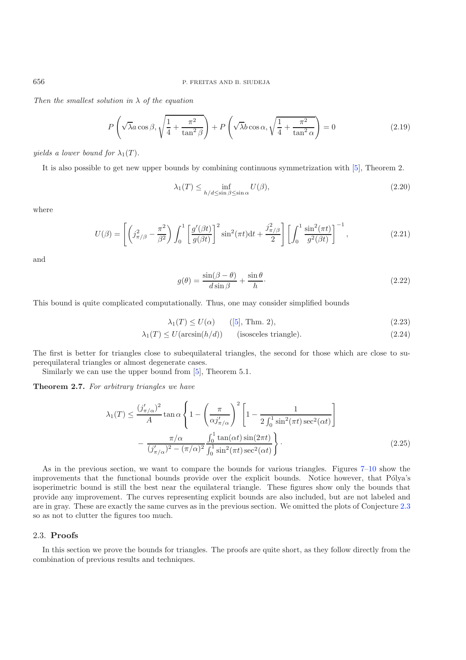*Then the smallest solution in* λ *of the equation*

$$
P\left(\sqrt{\lambda}a\cos\beta, \sqrt{\frac{1}{4} + \frac{\pi^2}{\tan^2\beta}}\right) + P\left(\sqrt{\lambda}b\cos\alpha, \sqrt{\frac{1}{4} + \frac{\pi^2}{\tan^2\alpha}}\right) = 0\tag{2.19}
$$

*yields a lower bound for*  $\lambda_1(T)$ *.* 

It is also possible to get new upper bounds by combining continuous symmetrization with [\[5](#page-28-4)], Theorem 2.

<span id="page-8-0"></span>
$$
\lambda_1(T) \le \inf_{h/d \le \sin \beta \le \sin \alpha} U(\beta),\tag{2.20}
$$

where

$$
U(\beta) = \left[ \left( j_{\pi/\beta}^2 - \frac{\pi^2}{\beta^2} \right) \int_0^1 \left[ \frac{g'(\beta t)}{g(\beta t)} \right]^2 \sin^2(\pi t) dt + \frac{j_{\pi/\beta}^2}{2} \right] \left[ \int_0^1 \frac{\sin^2(\pi t)}{g^2(\beta t)} \right]^{-1},\tag{2.21}
$$

and

$$
g(\theta) = \frac{\sin(\beta - \theta)}{d\sin\beta} + \frac{\sin\theta}{h}.\tag{2.22}
$$

This bound is quite complicated computationally. Thus, one may consider simplified bounds

$$
\lambda_1(T) \le U(\alpha) \qquad ([5], \text{ Thm. 2}), \tag{2.23}
$$

$$
\lambda_1(T) \le U(\arcsin(h/d)) \qquad \text{(isosceles triangle)}.\tag{2.24}
$$

The first is better for triangles close to subequilateral triangles, the second for those which are close to superequilateral triangles or almost degenerate cases.

Similarly we can use the upper bound from [\[5](#page-28-4)], Theorem 5.1.

<span id="page-8-1"></span>**Theorem 2.7.** *For arbitrary triangles we have*

$$
\lambda_1(T) \le \frac{(j'_{\pi/\alpha})^2}{A} \tan \alpha \left\{ 1 - \left(\frac{\pi}{\alpha j'_{\pi/\alpha}}\right)^2 \left[1 - \frac{1}{2 \int_0^1 \sin^2(\pi t) \sec^2(\alpha t)}\right] - \frac{\pi/\alpha}{(j'_{\pi/\alpha})^2 - (\pi/\alpha)^2} \frac{\int_0^1 \tan(\alpha t) \sin(2\pi t)}{\int_0^1 \sin^2(\pi t) \sec^2(\alpha t)} \right\}.
$$
\n(2.25)

As in the previous section, we want to compare the bounds for various triangles. Figures [7–](#page-9-0)[10](#page-10-0) show the improvements that the functional bounds provide over the explicit bounds. Notice however, that Pólya's isoperimetric bound is still the best near the equilateral triangle. These figures show only the bounds that provide any improvement. The curves representing explicit bounds are also included, but are not labeled and are in gray. These are exactly the same curves as in the previous section. We omitted the plots of Conjecture [2.3](#page-1-2) so as not to clutter the figures too much.

# 2.3. **Proofs**

In this section we prove the bounds for triangles. The proofs are quite short, as they follow directly from the combination of previous results and techniques.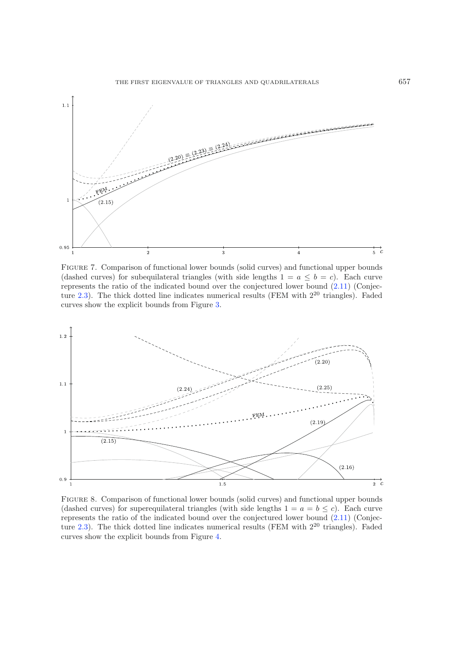<span id="page-9-0"></span>

Figure 7. Comparison of functional lower bounds (solid curves) and functional upper bounds (dashed curves) for subequilateral triangles (with side lengths  $1 = a \leq b = c$ ). Each curve represents the ratio of the indicated bound over the conjectured lower bound [\(2.11\)](#page-3-0) (Conjec-ture [2.3\)](#page-1-2). The thick dotted line indicates numerical results (FEM with  $2^{20}$  triangles). Faded curves show the explicit bounds from Figure [3.](#page-5-0)



Figure 8. Comparison of functional lower bounds (solid curves) and functional upper bounds (dashed curves) for superequilateral triangles (with side lengths  $1 = a = b \le c$ ). Each curve represents the ratio of the indicated bound over the conjectured lower bound [\(2.11\)](#page-3-0) (Conjec-ture [2.3\)](#page-1-2). The thick dotted line indicates numerical results (FEM with  $2^{20}$  triangles). Faded curves show the explicit bounds from Figure [4.](#page-5-1)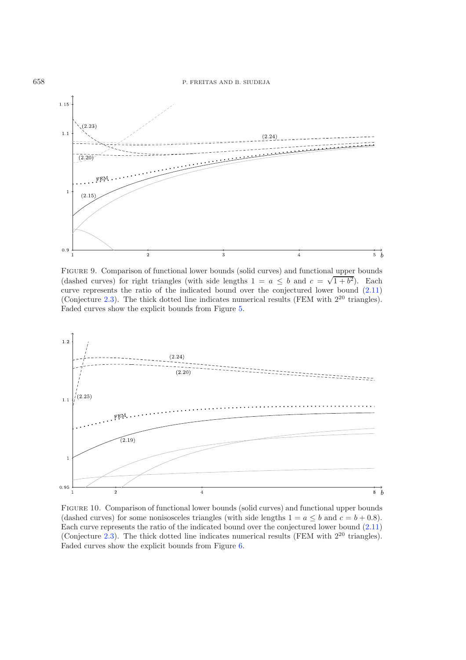

Figure 9. Comparison of functional lower bounds (solid curves) and functional upper bounds (dashed curves) for right triangles (with side lengths  $1 = a \leq b$  and  $c = \sqrt{1+b^2}$ ). Each curve represents the ratio of the indicated bound over the conjectured lower bound [\(2.11\)](#page-3-0) (Conjecture [2.3\)](#page-1-2). The thick dotted line indicates numerical results (FEM with  $2^{20}$  triangles). Faded curves show the explicit bounds from Figure [5.](#page-6-0)

<span id="page-10-0"></span>

Figure 10. Comparison of functional lower bounds (solid curves) and functional upper bounds (dashed curves) for some nonisosceles triangles (with side lengths  $1 = a \leq b$  and  $c = b + 0.8$ ). Each curve represents the ratio of the indicated bound over the conjectured lower bound [\(2.11\)](#page-3-0) (Conjecture [2.3\)](#page-1-2). The thick dotted line indicates numerical results (FEM with  $2^{20}$  triangles). Faded curves show the explicit bounds from Figure [6.](#page-7-0)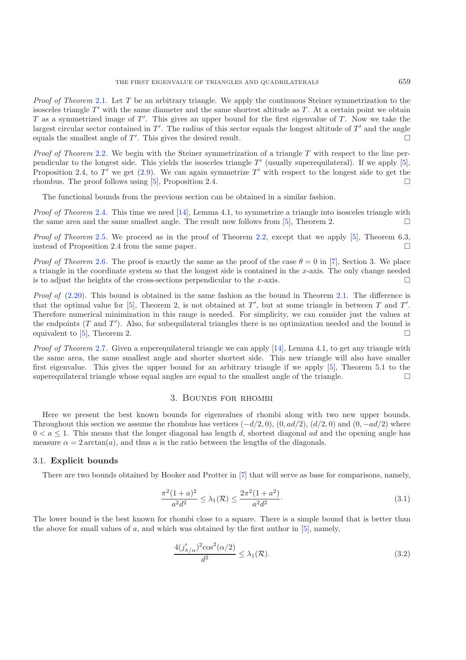*Proof of Theorem* [2.1](#page-1-0). Let T be an arbitrary triangle. We apply the continuous Steiner symmetrization to the isosceles triangle  $T'$  with the same diameter and the same shortest altitude as T. At a certain point we obtain T as a symmetrized image of T'. This gives an upper bound for the first eigenvalue of T. Now we take the largest circular sector contained in  $T'$ . The radius of this sector equals the longest altitude of  $T'$  and the angle equals the smallest angle of T'. This gives the desired result.  $\Box$ 

*Proof of Theorem* [2.2](#page-1-1). We begin with the Steiner symmetrization of a triangle T with respect to the line perpendicular to the longest side. This yields the isosceles triangle  $T'$  (usually superequilateral). If we apply [\[5\]](#page-28-4), Proposition 2.4, to T' we get  $(2.9)$ . We can again symmetrize T' with respect to the longest side to get the rhombus. The proof follows using [\[5\]](#page-28-4), Proposition 2.4.  $\Box$ 

The functional bounds from the previous section can be obtained in a similar fashion.

*Proof of Theorem* [2.4](#page-1-3). This time we need [\[14\]](#page-28-6), Lemma 4.1, to symmetrize a triangle into isosceles triangle with the same area and the same smallest angle. The result now follows from [\[5\]](#page-28-4), Theorem 2.  $\Box$ 

*Proof of Theorem* [2.5](#page-7-1). We proceed as in the proof of Theorem [2.2,](#page-1-1) except that we apply [\[5\]](#page-28-4), Theorem 6.3, instead of Proposition 2.4 from the same paper.  $\Box$ 

*Proof of Theorem* [2.6](#page-7-2). The proof is exactly the same as the proof of the case  $\theta = 0$  in [\[7](#page-28-10)], Section 3. We place a triangle in the coordinate system so that the longest side is contained in the x-axis. The only change needed is to adjust the heights of the cross-sections perpendicular to the x-axis.  $\Box$ 

*Proof of* [\(2.20\)](#page-8-0). This bound is obtained in the same fashion as the bound in Theorem [2.1.](#page-1-0) The difference is that the optimal value for [\[5](#page-28-4)], Theorem 2, is not obtained at T', but at some triangle in between T and T'. Therefore numerical minimization in this range is needed. For simplicity, we can consider just the values at the endpoints  $(T \text{ and } T')$ . Also, for subequilateral triangles there is no optimization needed and the bound is equivalent to [\[5](#page-28-4)], Theorem 2.  $\Box$ 

*Proof of Theorem* [2.7](#page-8-1). Given a superequilateral triangle we can apply [\[14\]](#page-28-6), Lemma 4.1, to get any triangle with the same area, the same smallest angle and shorter shortest side. This new triangle will also have smaller first eigenvalue. This gives the upper bound for an arbitrary triangle if we apply [\[5\]](#page-28-4), Theorem 5.1 to the superequilateral triangle whose equal angles are equal to the smallest angle of the triangle.  $\Box$ 

### <span id="page-11-2"></span><span id="page-11-1"></span>3. Bounds for rhombi

<span id="page-11-0"></span>Here we present the best known bounds for eigenvalues of rhombi along with two new upper bounds. Throughout this section we assume the rhombus has vertices  $(-d/2, 0)$ ,  $(0, ad/2)$ ,  $(d/2, 0)$  and  $(0, -ad/2)$  where  $0 < a \leq 1$ . This means that the longer diagonal has length d, shortest diagonal ad and the opening angle has measure  $\alpha = 2 \arctan(a)$ , and thus a is the ratio between the lengths of the diagonals.

#### 3.1. **Explicit bounds**

There are two bounds obtained by Hooker and Protter in [\[7\]](#page-28-10) that will serve as base for comparisons, namely,

$$
\frac{\pi^2 (1+a)^2}{a^2 d^2} \le \lambda_1(\mathcal{R}) \le \frac{2\pi^2 (1+a^2)}{a^2 d^2}.
$$
\n(3.1)

The lower bound is the best known for rhombi close to a square. There is a simple bound that is better than the above for small values of  $a$ , and which was obtained by the first author in  $[5]$  $[5]$ , namely,

$$
\frac{4(j'_{\pi/\alpha})^2 \cos^2(\alpha/2)}{d^2} \le \lambda_1(\mathcal{R}).\tag{3.2}
$$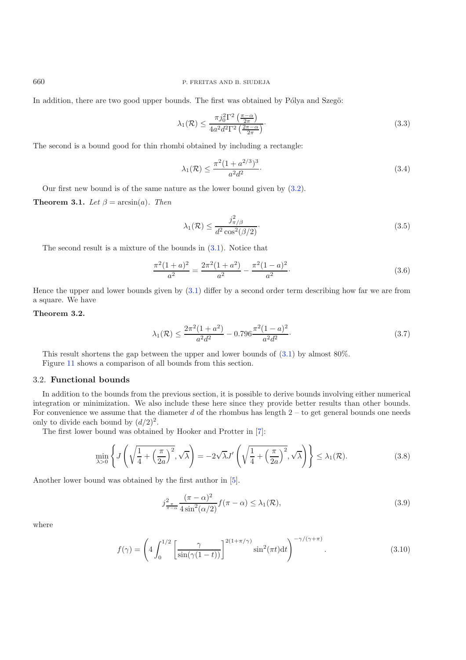In addition, there are two good upper bounds. The first was obtained by Pólya and Szegö:

<span id="page-12-1"></span>
$$
\lambda_1(\mathcal{R}) \le \frac{\pi j_0^2 \Gamma^2 \left(\frac{\pi - \alpha}{2\pi}\right)}{4a^2 d^2 \Gamma^2 \left(\frac{2\pi - \alpha}{2\pi}\right)}.
$$
\n(3.3)

The second is a bound good for thin rhombi obtained by including a rectangle:

$$
\lambda_1(\mathcal{R}) \le \frac{\pi^2 (1 + a^{2/3})^3}{a^2 d^2}.
$$
\n(3.4)

Our first new bound is of the same nature as the lower bound given by [\(3.2\)](#page-11-1).

**Theorem 3.1.** *Let*  $\beta = \arcsin(a)$ *. Then* 

<span id="page-12-0"></span>
$$
\lambda_1(\mathcal{R}) \le \frac{j_{\pi/\beta}^2}{d^2 \cos^2(\beta/2)}.
$$
\n(3.5)

The second result is a mixture of the bounds in [\(3.1\)](#page-11-2). Notice that

$$
\frac{\pi^2 (1+a)^2}{a^2} = \frac{2\pi^2 (1+a^2)}{a^2} - \frac{\pi^2 (1-a)^2}{a^2}.
$$
\n(3.6)

Hence the upper and lower bounds given by [\(3.1\)](#page-11-2) differ by a second order term describing how far we are from a square. We have

# **Theorem 3.2.**

$$
\lambda_1(\mathcal{R}) \le \frac{2\pi^2(1+a^2)}{a^2d^2} - 0.796\frac{\pi^2(1-a)^2}{a^2d^2}.
$$
\n(3.7)

This result shortens the gap between the upper and lower bounds of [\(3.1\)](#page-11-2) by almost 80%. Figure [11](#page-13-0) shows a comparison of all bounds from this section.

#### 3.2. **Functional bounds**

In addition to the bounds from the previous section, it is possible to derive bounds involving either numerical integration or minimization. We also include these here since they provide better results than other bounds. For convenience we assume that the diameter  $d$  of the rhombus has length  $2 -$  to get general bounds one needs only to divide each bound by  $(d/2)^2$ .

The first lower bound was obtained by Hooker and Protter in [\[7\]](#page-28-10):

$$
\min_{\lambda>0} \left\{ J\left(\sqrt{\frac{1}{4} + \left(\frac{\pi}{2a}\right)^2}, \sqrt{\lambda}\right) = -2\sqrt{\lambda}J'\left(\sqrt{\frac{1}{4} + \left(\frac{\pi}{2a}\right)^2}, \sqrt{\lambda}\right) \right\} \le \lambda_1(\mathcal{R}).\tag{3.8}
$$

Another lower bound was obtained by the first author in [\[5](#page-28-4)].

$$
j_{\frac{\pi}{\pi-\alpha}}^2 \frac{(\pi-\alpha)^2}{4\sin^2(\alpha/2)} f(\pi-\alpha) \leq \lambda_1(\mathcal{R}),
$$
\n(3.9)

where

$$
f(\gamma) = \left(4 \int_0^{1/2} \left[\frac{\gamma}{\sin(\gamma(1-t))}\right]^{2(1+\pi/\gamma)} \sin^2(\pi t) dt\right)^{-\gamma/(\gamma+\pi)}.
$$
 (3.10)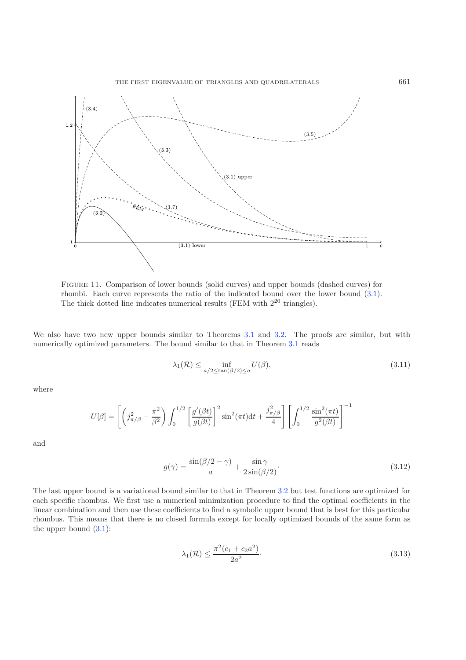<span id="page-13-0"></span>

Figure 11. Comparison of lower bounds (solid curves) and upper bounds (dashed curves) for rhombi. Each curve represents the ratio of the indicated bound over the lower bound [\(3.1\)](#page-11-2). The thick dotted line indicates numerical results (FEM with  $2^{20}$  triangles).

We also have two new upper bounds similar to Theorems [3.1](#page-1-0) and [3.2.](#page-1-1) The proofs are similar, but with numerically optimized parameters. The bound similar to that in Theorem [3.1](#page-1-0) reads

<span id="page-13-2"></span>
$$
\lambda_1(\mathcal{R}) \le \inf_{a/2 \le \tan(\beta/2) \le a} U(\beta),\tag{3.11}
$$

where

$$
U[\beta] = \left[ \left( j_{\pi/\beta}^2 - \frac{\pi^2}{\beta^2} \right) \int_0^{1/2} \left[ \frac{g'(\beta t)}{g(\beta t)} \right]^2 \sin^2(\pi t) dt + \frac{j_{\pi/\beta}^2}{4} \right] \left[ \int_0^{1/2} \frac{\sin^2(\pi t)}{g^2(\beta t)} \right]^{-1}
$$

and

<span id="page-13-1"></span>
$$
g(\gamma) = \frac{\sin(\beta/2 - \gamma)}{a} + \frac{\sin \gamma}{2\sin(\beta/2)}.
$$
\n(3.12)

The last upper bound is a variational bound similar to that in Theorem [3.2](#page-1-1) but test functions are optimized for each specific rhombus. We first use a numerical minimization procedure to find the optimal coefficients in the linear combination and then use these coefficients to find a symbolic upper bound that is best for this particular rhombus. This means that there is no closed formula except for locally optimized bounds of the same form as the upper bound  $(3.1)$ :

$$
\lambda_1(\mathcal{R}) \le \frac{\pi^2 (c_1 + c_2 a^2)}{2a^2}.
$$
\n(3.13)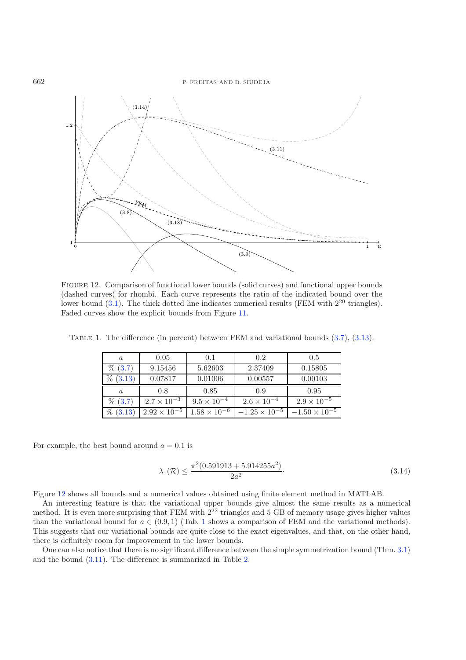<span id="page-14-0"></span>

<span id="page-14-1"></span>Figure 12. Comparison of functional lower bounds (solid curves) and functional upper bounds (dashed curves) for rhombi. Each curve represents the ratio of the indicated bound over the lower bound  $(3.1)$ . The thick dotted line indicates numerical results (FEM with  $2^{20}$  triangles). Faded curves show the explicit bounds from Figure [11.](#page-13-0)

| $\boldsymbol{a}$ | 0.05                 | 0.1                  | 0.2                  | 0.5                  |
|------------------|----------------------|----------------------|----------------------|----------------------|
| $\%$ (3.7)       | 9.15456              | 5.62603              | 2.37409              | 0.15805              |
| $\%$ (3.13)      | 0.07817              | 0.01006              | 0.00557              | 0.00103              |
|                  |                      |                      |                      |                      |
| $\alpha$         | 0.8                  | 0.85                 | 0.9                  | 0.95                 |
| $\% (3.7)$       | $2.7 \times 10^{-3}$ | $9.5 \times 10^{-4}$ | $2.6 \times 10^{-4}$ | $2.9 \times 10^{-5}$ |

TABLE 1. The difference (in percent) between FEM and variational bounds  $(3.7)$ ,  $(3.13)$ .

For example, the best bound around  $a = 0.1$  is

<span id="page-14-2"></span>
$$
\lambda_1(\mathcal{R}) \le \frac{\pi^2 (0.591913 + 5.914255a^2)}{2a^2}.
$$
\n(3.14)

Figure [12](#page-14-0) shows all bounds and a numerical values obtained using finite element method in MATLAB.

An interesting feature is that the variational upper bounds give almost the same results as a numerical method. It is even more surprising that FEM with  $2^{22}$  triangles and 5 GB of memory usage gives higher values than the variational bound for  $a \in (0.9, 1)$  $a \in (0.9, 1)$  $a \in (0.9, 1)$  (Tab. 1 shows a comparison of FEM and the variational methods). This suggests that our variational bounds are quite close to the exact eigenvalues, and that, on the other hand, there is definitely room for improvement in the lower bounds.

One can also notice that there is no significant difference between the simple symmetrization bound (Thm. [3.1\)](#page-1-0) and the bound [\(3.11\)](#page-13-2). The difference is summarized in Table [2.](#page-15-0)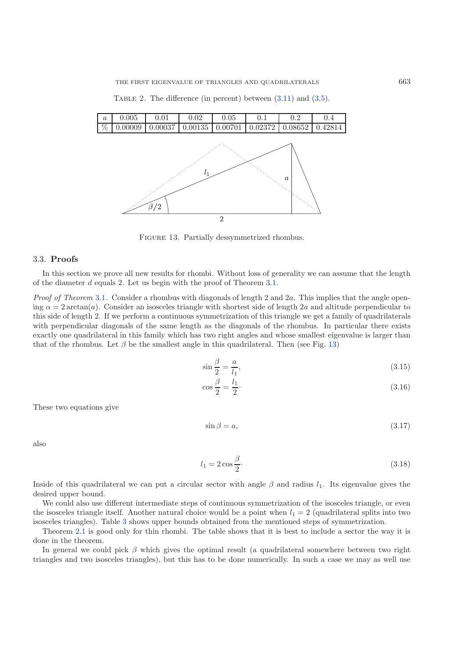<span id="page-15-1"></span><span id="page-15-0"></span>TABLE 2. The difference (in percent) between  $(3.11)$  and  $(3.5)$ .



FIGURE 13. Partially dessymmetrized rhombus.

#### 3.3. **Proofs**

In this section we prove all new results for rhombi. Without loss of generality we can assume that the length of the diameter d equals 2. Let us begin with the proof of Theorem [3.1.](#page-1-0)

*Proof of Theorem* [3.1](#page-1-0). Consider a rhombus with diagonals of length 2 and 2a. This implies that the angle opening  $\alpha = 2 \arctan(a)$ . Consider an isosceles triangle with shortest side of length 2a and altitude perpendicular to this side of length 2. If we perform a continuous symmetrization of this triangle we get a family of quadrilaterals with perpendicular diagonals of the same length as the diagonals of the rhombus. In particular there exists exactly one quadrilateral in this family which has two right angles and whose smallest eigenvalue is larger than that of the rhombus. Let  $\beta$  be the smallest angle in this quadrilateral. Then (see Fig. [13\)](#page-15-1)

$$
\sin\frac{\beta}{2} = \frac{a}{l_1},\tag{3.15}
$$

$$
\cos\frac{\beta}{2} = \frac{l_1}{2}.\tag{3.16}
$$

These two equations give

$$
\sin \beta = a,\tag{3.17}
$$

also

$$
l_1 = 2\cos\frac{\beta}{2}.\tag{3.18}
$$

Inside of this quadrilateral we can put a circular sector with angle  $\beta$  and radius  $l_1$ . Its eigenvalue gives the desired upper bound.

We could also use different intermediate steps of continuous symmetrization of the isosceles triangle, or even the isosceles triangle itself. Another natural choice would be a point when  $l_1 = 2$  (quadrilateral splits into two isosceles triangles). Table [3](#page-16-0) shows upper bounds obtained from the mentioned steps of symmetrization.

Theorem [2.1](#page-1-0) is good only for thin rhombi. The table shows that it is best to include a sector the way it is done in the theorem.

In general we could pick  $\beta$  which gives the optimal result (a quadrilateral somewhere between two right triangles and two isosceles triangles), but this has to be done numerically. In such a case we may as well use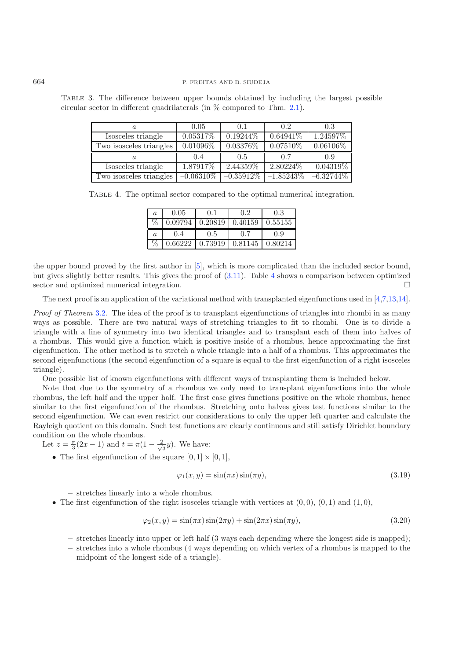| a.                      | 0.05        | 0.1         | $0.2^{\circ}$ | 0.3          |
|-------------------------|-------------|-------------|---------------|--------------|
| Isosceles triangle      | $0.05317\%$ | $0.19244\%$ | $0.64941\%$   | 1.24597%     |
| Two isosceles triangles | $0.01096\%$ | $0.03376\%$ | $0.07510\%$   | $0.06106\%$  |
|                         |             |             |               |              |
|                         | 0.4         | 0.5         | 07            | 0.9          |
| Isosceles triangle      | 1.87917%    | 2.44359%    | 2.80224\%     | $-0.04319\%$ |

<span id="page-16-1"></span><span id="page-16-0"></span>Table 3. The difference between upper bounds obtained by including the largest possible circular sector in different quadrilaterals (in % compared to Thm. [2.1\)](#page-1-0).

|  |  | TABLE 4. The optimal sector compared to the optimal numerical integration. |  |  |  |  |  |  |
|--|--|----------------------------------------------------------------------------|--|--|--|--|--|--|
|--|--|----------------------------------------------------------------------------|--|--|--|--|--|--|

| $\boldsymbol{a}$ | 0.05 | 0.1 | 0.2 | 0.3                                                         |
|------------------|------|-----|-----|-------------------------------------------------------------|
| $\%$             |      |     |     | $0.09794$   $0.20819$   $0.40159$   $0.55155$               |
|                  |      |     |     |                                                             |
| $\mathfrak{a}$   | 0.4  | 0.5 | 0.7 | 0.9<br>$0.66222$   0.73919   $\overline{0.81145}$   0.80214 |

the upper bound proved by the first author in [\[5\]](#page-28-4), which is more complicated than the included sector bound, but gives slightly better results. This gives the proof of [\(3.11\)](#page-13-2). Table [4](#page-16-1) shows a comparison between optimized sector and optimized numerical integration.  $\Box$ 

The next proof is an application of the variational method with transplanted eigenfunctions used in [\[4](#page-28-3)[,7](#page-28-10)[,13](#page-28-5)[,14\]](#page-28-6).

*Proof of Theorem* [3.2](#page-1-1). The idea of the proof is to transplant eigenfunctions of triangles into rhombi in as many ways as possible. There are two natural ways of stretching triangles to fit to rhombi. One is to divide a triangle with a line of symmetry into two identical triangles and to transplant each of them into halves of a rhombus. This would give a function which is positive inside of a rhombus, hence approximating the first eigenfunction. The other method is to stretch a whole triangle into a half of a rhombus. This approximates the second eigenfunctions (the second eigenfunction of a square is equal to the first eigenfunction of a right isosceles triangle).

One possible list of known eigenfunctions with different ways of transplanting them is included below.

Note that due to the symmetry of a rhombus we only need to transplant eigenfunctions into the whole rhombus, the left half and the upper half. The first case gives functions positive on the whole rhombus, hence similar to the first eigenfunction of the rhombus. Stretching onto halves gives test functions similar to the second eigenfunction. We can even restrict our considerations to only the upper left quarter and calculate the Rayleigh quotient on this domain. Such test functions are clearly continuous and still satisfy Dirichlet boundary condition on the whole rhombus.

Let  $z = \frac{\pi}{3}(2x - 1)$  and  $t = \pi(1 - \frac{2}{\sqrt{3}}y)$ . We have:

• The first eigenfunction of the square  $[0, 1] \times [0, 1]$ ,

$$
\varphi_1(x, y) = \sin(\pi x)\sin(\pi y),\tag{3.19}
$$

**–** stretches linearly into a whole rhombus.

• The first eigenfunction of the right isosceles triangle with vertices at  $(0, 0)$ ,  $(0, 1)$  and  $(1, 0)$ ,

$$
\varphi_2(x, y) = \sin(\pi x)\sin(2\pi y) + \sin(2\pi x)\sin(\pi y),\tag{3.20}
$$

- **–** stretches linearly into upper or left half (3 ways each depending where the longest side is mapped);
- **–** stretches into a whole rhombus (4 ways depending on which vertex of a rhombus is mapped to the midpoint of the longest side of a triangle).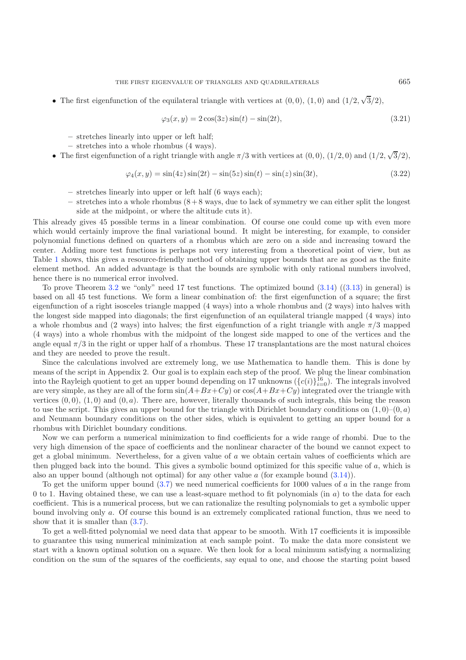• The first eigenfunction of the equilateral triangle with vertices at  $(0,0)$ ,  $(1,0)$  and  $(1/2,$ √  $3/2),$ 

$$
\varphi_3(x, y) = 2\cos(3z)\sin(t) - \sin(2t),\tag{3.21}
$$

- **–** stretches linearly into upper or left half;
- **–** stretches into a whole rhombus (4 ways).
- The first eigenfunction of a right triangle with angle  $\pi/3$  with vertices at  $(0, 0)$ ,  $(1/2, 0)$  and  $(1/2, 0)$ √  $3/2),$

$$
\varphi_4(x, y) = \sin(4z)\sin(2t) - \sin(5z)\sin(t) - \sin(z)\sin(3t),\tag{3.22}
$$

- **–** stretches linearly into upper or left half (6 ways each);
- **–** stretches into a whole rhombus (8 + 8 ways, due to lack of symmetry we can either split the longest side at the midpoint, or where the altitude cuts it).

This already gives 45 possible terms in a linear combination. Of course one could come up with even more which would certainly improve the final variational bound. It might be interesting, for example, to consider polynomial functions defined on quarters of a rhombus which are zero on a side and increasing toward the center. Adding more test functions is perhaps not very interesting from a theoretical point of view, but as Table [1](#page-14-1) shows, this gives a resource-friendly method of obtaining upper bounds that are as good as the finite element method. An added advantage is that the bounds are symbolic with only rational numbers involved, hence there is no numerical error involved.

To prove Theorem [3.2](#page-1-1) we "only" need 17 test functions. The optimized bound [\(3.14\)](#page-14-2) ([\(3.13\)](#page-13-1) in general) is based on all 45 test functions. We form a linear combination of: the first eigenfunction of a square; the first eigenfunction of a right isosceles triangle mapped (4 ways) into a whole rhombus and (2 ways) into halves with the longest side mapped into diagonals; the first eigenfunction of an equilateral triangle mapped (4 ways) into a whole rhombus and (2 ways) into halves; the first eigenfunction of a right triangle with angle  $\pi/3$  mapped (4 ways) into a whole rhombus with the midpoint of the longest side mapped to one of the vertices and the angle equal  $\pi/3$  in the right or upper half of a rhombus. These 17 transplantations are the most natural choices and they are needed to prove the result.

Since the calculations involved are extremely long, we use Mathematica to handle them. This is done by means of the script in Appendix 2. Our goal is to explain each step of the proof. We plug the linear combination into the Rayleigh quotient to get an upper bound depending on 17 unknowns  $(\{c(i)\}_{i=0}^{16})$ . The integrals involved are very simple, as they are all of the form  $sin(A+Bx+Cy)$  or  $cos(A+Bx+Cy)$  integrated over the triangle with vertices  $(0,0)$ ,  $(1,0)$  and  $(0,a)$ . There are, however, literally thousands of such integrals, this being the reason to use the script. This gives an upper bound for the triangle with Dirichlet boundary conditions on  $(1, 0)$ – $(0, a)$ and Neumann boundary conditions on the other sides, which is equivalent to getting an upper bound for a rhombus with Dirichlet boundary conditions.

Now we can perform a numerical minimization to find coefficients for a wide range of rhombi. Due to the very high dimension of the space of coefficients and the nonlinear character of the bound we cannot expect to get a global minimum. Nevertheless, for a given value of  $a$  we obtain certain values of coefficients which are then plugged back into the bound. This gives a symbolic bound optimized for this specific value of a, which is also an upper bound (although not optimal) for any other value  $a$  (for example bound  $(3.14)$ ).

To get the uniform upper bound  $(3.7)$  we need numerical coefficients for 1000 values of a in the range from 0 to 1. Having obtained these, we can use a least-square method to fit polynomials (in  $a$ ) to the data for each coefficient. This is a numerical process, but we can rationalize the resulting polynomials to get a symbolic upper bound involving only a. Of course this bound is an extremely complicated rational function, thus we need to show that it is smaller than  $(3.7)$ .

To get a well-fitted polynomial we need data that appear to be smooth. With 17 coefficients it is impossible to guarantee this using numerical minimization at each sample point. To make the data more consistent we start with a known optimal solution on a square. We then look for a local minimum satisfying a normalizing condition on the sum of the squares of the coefficients, say equal to one, and choose the starting point based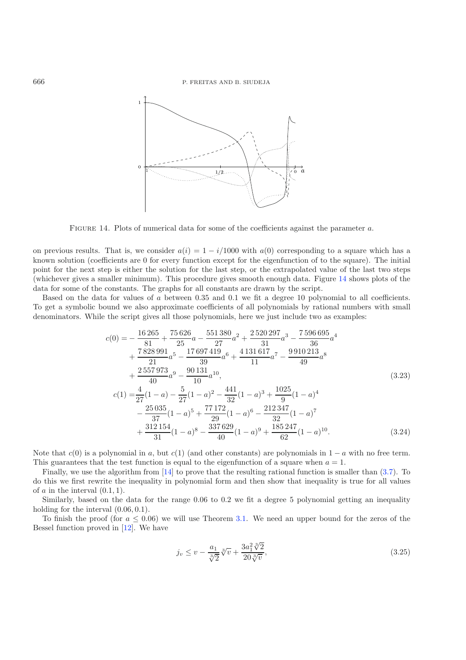

FIGURE 14. Plots of numerical data for some of the coefficients against the parameter a.

on previous results. That is, we consider  $a(i)=1 - i/1000$  with  $a(0)$  corresponding to a square which has a known solution (coefficients are 0 for every function except for the eigenfunction of to the square). The initial point for the next step is either the solution for the last step, or the extrapolated value of the last two steps (whichever gives a smaller minimum). This procedure gives smooth enough data. Figure [14](#page-18-0) shows plots of the data for some of the constants. The graphs for all constants are drawn by the script.

Based on the data for values of a between 0.35 and 0.1 we fit a degree 10 polynomial to all coefficients. To get a symbolic bound we also approximate coefficients of all polynomials by rational numbers with small denominators. While the script gives all those polynomials, here we just include two as examples:

$$
c(0) = -\frac{16265}{81} + \frac{75626}{25}a - \frac{551380}{27}a^2 + \frac{2520297}{31}a^3 - \frac{7596695}{36}a^4
$$
  
+ 
$$
\frac{7828991}{21}a^5 - \frac{17697419}{39}a^6 + \frac{4131617}{11}a^7 - \frac{9910213}{49}a^8
$$
  
+ 
$$
\frac{2557973}{40}a^9 - \frac{90131}{10}a^{10},
$$
  

$$
c(1) = \frac{4}{27}(1-a) - \frac{5}{27}(1-a)^2 - \frac{441}{32}(1-a)^3 + \frac{1025}{9}(1-a)^4
$$
  
- 
$$
\frac{25035}{37}(1-a)^5 + \frac{77172}{29}(1-a)^6 - \frac{212347}{32}(1-a)^7
$$
  
+ 
$$
\frac{312154}{31}(1-a)^8 - \frac{337629}{40}(1-a)^9 + \frac{185247}{62}(1-a)^{10}.
$$
 (3.24)

Note that  $c(0)$  is a polynomial in a, but  $c(1)$  (and other constants) are polynomials in  $1 - a$  with no free term. This guarantees that the test function is equal to the eigenfunction of a square when  $a = 1$ .

Finally, we use the algorithm from [\[14](#page-28-6)] to prove that the resulting rational function is smaller than [\(3.7\)](#page-12-0). To do this we first rewrite the inequality in polynomial form and then show that inequality is true for all values of  $a$  in the interval  $(0.1, 1)$ .

Similarly, based on the data for the range 0.06 to 0.2 we fit a degree 5 polynomial getting an inequality holding for the interval  $(0.06, 0.1)$ .

To finish the proof (for  $a \leq 0.06$ ) we will use Theorem [3.1.](#page-1-0) We need an upper bound for the zeros of the Bessel function proved in [\[12\]](#page-28-13). We have

$$
j_v \le v - \frac{a_1}{\sqrt[3]{2}} \sqrt[3]{v} + \frac{3a_1^2 \sqrt[3]{2}}{20 \sqrt[3]{v}},
$$
\n(3.25)

<span id="page-18-0"></span>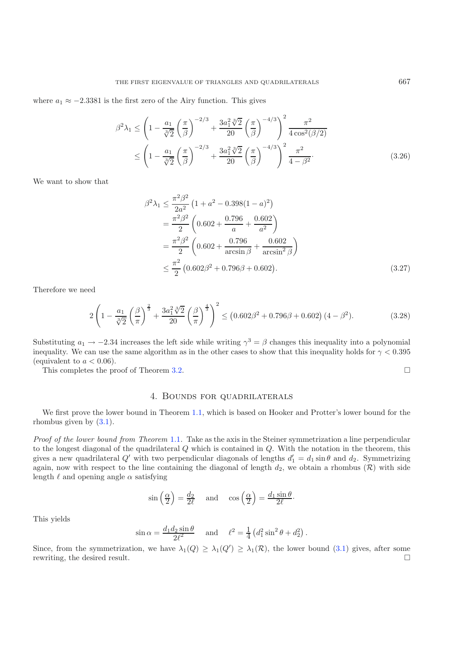where  $a_1 \approx -2.3381$  is the first zero of the Airy function. This gives

$$
\beta^2 \lambda_1 \le \left( 1 - \frac{a_1}{\sqrt[3]{2}} \left( \frac{\pi}{\beta} \right)^{-2/3} + \frac{3a_1^2 \sqrt[3]{2}}{20} \left( \frac{\pi}{\beta} \right)^{-4/3} \right)^2 \frac{\pi^2}{4 \cos^2(\beta/2)}
$$
  

$$
\le \left( 1 - \frac{a_1}{\sqrt[3]{2}} \left( \frac{\pi}{\beta} \right)^{-2/3} + \frac{3a_1^2 \sqrt[3]{2}}{20} \left( \frac{\pi}{\beta} \right)^{-4/3} \right)^2 \frac{\pi^2}{4 - \beta^2}.
$$
 (3.26)

We want to show that

$$
\beta^2 \lambda_1 \le \frac{\pi^2 \beta^2}{2a^2} \left( 1 + a^2 - 0.398(1 - a)^2 \right)
$$
  
= 
$$
\frac{\pi^2 \beta^2}{2} \left( 0.602 + \frac{0.796}{a} + \frac{0.602}{a^2} \right)
$$
  
= 
$$
\frac{\pi^2 \beta^2}{2} \left( 0.602 + \frac{0.796}{\arcsin \beta} + \frac{0.602}{\arcsin^2 \beta} \right)
$$
  

$$
\le \frac{\pi^2}{2} \left( 0.602 \beta^2 + 0.796 \beta + 0.602 \right).
$$
 (3.27)

Therefore we need

$$
2\left(1 - \frac{a_1}{\sqrt[3]{2}}\left(\frac{\beta}{\pi}\right)^{\frac{2}{3}} + \frac{3a_1^2\sqrt[3]{2}}{20}\left(\frac{\beta}{\pi}\right)^{\frac{4}{3}}\right)^2 \le (0.602\beta^2 + 0.796\beta + 0.602)(4 - \beta^2). \tag{3.28}
$$

Substituting  $a_1 \rightarrow -2.34$  increases the left side while writing  $\gamma^3 = \beta$  changes this inequality into a polynomial inequality. We can use the same algorithm as in the other cases to show that this inequality holds for  $\gamma < 0.395$ (equivalent to  $a < 0.06$ ).

This completes the proof of Theorem [3.2.](#page-1-1)

# $\Box$

### 4. Bounds for quadrilaterals

<span id="page-19-0"></span>We first prove the lower bound in Theorem [1.1,](#page-1-0) which is based on Hooker and Protter's lower bound for the rhombus given by [\(3.1\)](#page-11-2).

*Proof of the lower bound from Theorem* [1.1](#page-1-0)*.* Take as the axis in the Steiner symmetrization a line perpendicular to the longest diagonal of the quadrilateral Q which is contained in Q. With the notation in the theorem, this gives a new quadrilateral  $Q'$  with two perpendicular diagonals of lengths  $d'_1 = d_1 \sin \theta$  and  $d_2$ . Symmetrizing again, now with respect to the line containing the diagonal of length  $d_2$ , we obtain a rhombus  $(\mathcal{R})$  with side length  $\ell$  and opening angle  $\alpha$  satisfying

$$
\sin\left(\frac{\alpha}{2}\right) = \frac{d_2}{2\ell}
$$
 and  $\cos\left(\frac{\alpha}{2}\right) = \frac{d_1 \sin \theta}{2\ell}$ .

This yields

$$
\sin \alpha = \frac{d_1 d_2 \sin \theta}{2\ell^2} \quad \text{and} \quad \ell^2 = \frac{1}{4} \left( d_1^2 \sin^2 \theta + d_2^2 \right).
$$

Since, from the symmetrization, we have  $\lambda_1(Q) \geq \lambda_1(Q') \geq \lambda_1(\mathcal{R})$ , the lower bound  $(3.1)$  gives, after some rewriting, the desired result.  $\Box$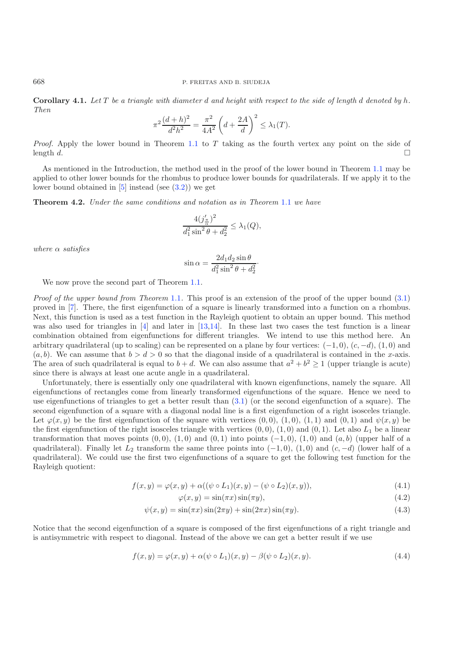**Corollary 4.1.** *Let* T *be a triangle with diameter* d *and height with respect to the side of length* d *denoted by* h*. Then*

$$
\pi^2 \frac{(d+h)^2}{d^2 h^2} = \frac{\pi^2}{4A^2} \left( d + \frac{2A}{d} \right)^2 \le \lambda_1(T).
$$

*Proof.* Apply the lower bound in Theorem [1.1](#page-1-0) to T taking as the fourth vertex any point on the side of length d.  $\Box$ 

As mentioned in the Introduction, the method used in the proof of the lower bound in Theorem [1.1](#page-1-0) may be applied to other lower bounds for the rhombus to produce lower bounds for quadrilaterals. If we apply it to the lower bound obtained in  $[5]$  $[5]$  instead (see  $(3.2)$ ) we get

**Theorem 4.2.** *Under the same conditions and notation as in Theorem* [1.1](#page-1-0) *we have*

$$
\frac{4(j'_{\frac{\pi}{\alpha}})^2}{d_1^2 \sin^2 \theta + d_2^2} \le \lambda_1(Q),
$$

*where* α *satisfies*

$$
\sin \alpha = \frac{2d_1d_2\sin\theta}{d_1^2\sin^2\theta + d_2^2}.
$$

We now prove the second part of Theorem [1.1.](#page-1-0)

*Proof of the upper bound from Theorem* [1.1](#page-1-0). This proof is an extension of the proof of the upper bound [\(3.1\)](#page-11-2) proved in [\[7\]](#page-28-10). There, the first eigenfunction of a square is linearly transformed into a function on a rhombus. Next, this function is used as a test function in the Rayleigh quotient to obtain an upper bound. This method was also used for triangles in [\[4\]](#page-28-3) and later in [\[13](#page-28-5)[,14](#page-28-6)]. In these last two cases the test function is a linear combination obtained from eigenfunctions for different triangles. We intend to use this method here. An arbitrary quadrilateral (up to scaling) can be represented on a plane by four vertices:  $(-1, 0)$ ,  $(c, -d)$ ,  $(1, 0)$  and  $(a, b)$ . We can assume that  $b > d > 0$  so that the diagonal inside of a quadrilateral is contained in the x-axis. The area of such quadrilateral is equal to  $b + d$ . We can also assume that  $a^2 + b^2 \ge 1$  (upper triangle is acute) since there is always at least one acute angle in a quadrilateral.

Unfortunately, there is essentially only one quadrilateral with known eigenfunctions, namely the square. All eigenfunctions of rectangles come from linearly transformed eigenfunctions of the square. Hence we need to use eigenfunctions of triangles to get a better result than [\(3.1\)](#page-11-2) (or the second eigenfunction of a square). The second eigenfunction of a square with a diagonal nodal line is a first eigenfunction of a right isosceles triangle. Let  $\varphi(x, y)$  be the first eigenfunction of the square with vertices  $(0, 0), (1, 0), (1, 1)$  and  $(0, 1)$  and  $\psi(x, y)$  be the first eigenfunction of the right isosceles triangle with vertices  $(0, 0)$ ,  $(1, 0)$  and  $(0, 1)$ . Let also  $L_1$  be a linear transformation that moves points  $(0, 0)$ ,  $(1, 0)$  and  $(0, 1)$  into points  $(-1, 0)$ ,  $(1, 0)$  and  $(a, b)$  (upper half of a quadrilateral). Finally let  $L_2$  transform the same three points into (−1,0), (1,0) and (c, −d) (lower half of a quadrilateral). We could use the first two eigenfunctions of a square to get the following test function for the Rayleigh quotient:

$$
f(x,y) = \varphi(x,y) + \alpha((\psi \circ L_1)(x,y) - (\psi \circ L_2)(x,y)),
$$
\n(4.1)

$$
\varphi(x, y) = \sin(\pi x)\sin(\pi y),\tag{4.2}
$$

$$
\psi(x,y) = \sin(\pi x)\sin(2\pi y) + \sin(2\pi x)\sin(\pi y). \tag{4.3}
$$

Notice that the second eigenfunction of a square is composed of the first eigenfunctions of a right triangle and is antisymmetric with respect to diagonal. Instead of the above we can get a better result if we use

$$
f(x,y) = \varphi(x,y) + \alpha(\psi \circ L_1)(x,y) - \beta(\psi \circ L_2)(x,y). \tag{4.4}
$$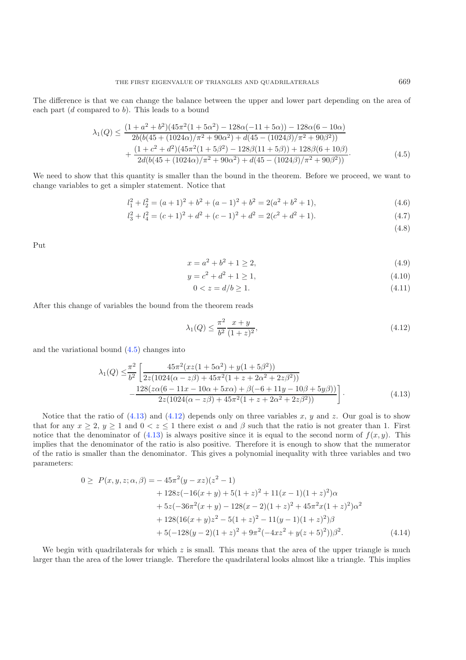The difference is that we can change the balance between the upper and lower part depending on the area of each part  $(d \text{ compared to } b)$ . This leads to a bound

$$
\lambda_1(Q) \le \frac{(1+a^2+b^2)(45\pi^2(1+5\alpha^2)-128\alpha(-11+5\alpha))-128\alpha(6-10\alpha)}{2b(b(45+(1024\alpha)/\pi^2+90\alpha^2)+d(45-(1024\beta)/\pi^2+90\beta^2))} + \frac{(1+c^2+d^2)(45\pi^2(1+5\beta^2)-128\beta(11+5\beta))+128\beta(6+10\beta)}{2d(b(45+(1024\alpha)/\pi^2+90\alpha^2)+d(45-(1024\beta)/\pi^2+90\beta^2))}.
$$
\n(4.5)

We need to show that this quantity is smaller than the bound in the theorem. Before we proceed, we want to change variables to get a simpler statement. Notice that

$$
l_1^2 + l_2^2 = (a+1)^2 + b^2 + (a-1)^2 + b^2 = 2(a^2 + b^2 + 1),
$$
\n(4.6)

$$
l_3^2 + l_4^2 = (c+1)^2 + d^2 + (c-1)^2 + d^2 = 2(c^2 + d^2 + 1).
$$
\n(4.7)

<span id="page-21-2"></span><span id="page-21-1"></span><span id="page-21-0"></span>(4.8)

Put

$$
x = a^2 + b^2 + 1 \ge 2,\tag{4.9}
$$

$$
y = c^2 + d^2 + 1 \ge 1,\tag{4.10}
$$

$$
0 < z = d/b \ge 1. \tag{4.11}
$$

After this change of variables the bound from the theorem reads

$$
\lambda_1(Q) \le \frac{\pi^2}{b^2} \frac{x+y}{(1+z)^2},\tag{4.12}
$$

and the variational bound [\(4.5\)](#page-21-0) changes into

$$
\lambda_1(Q) \leq \frac{\pi^2}{b^2} \left[ \frac{45\pi^2 (xz(1+5\alpha^2) + y(1+5\beta^2))}{2z(1024(\alpha - z\beta) + 45\pi^2 (1+z+2\alpha^2 + 2z\beta^2))} - \frac{128(z\alpha(6-11x-10\alpha+5x\alpha) + \beta(-6+11y-10\beta+5y\beta))}{2z(1024(\alpha - z\beta) + 45\pi^2 (1+z+2\alpha^2 + 2z\beta^2))} \right].
$$
\n(4.13)

Notice that the ratio of  $(4.13)$  and  $(4.12)$  depends only on three variables x, y and z. Our goal is to show that for any  $x \ge 2$ ,  $y \ge 1$  and  $0 < z \le 1$  there exist  $\alpha$  and  $\beta$  such that the ratio is not greater than 1. First notice that the denominator of  $(4.13)$  is always positive since it is equal to the second norm of  $f(x, y)$ . This implies that the denominator of the ratio is also positive. Therefore it is enough to show that the numerator of the ratio is smaller than the denominator. This gives a polynomial inequality with three variables and two parameters:

$$
0 \ge P(x, y, z; \alpha, \beta) = -45\pi^2(y - xz)(z^2 - 1)
$$
  
+ 128z(-16(x + y) + 5(1 + z)^2 + 11(x - 1)(1 + z)^2)\alpha  
+ 5z(-36\pi^2(x + y) - 128(x - 2)(1 + z)^2 + 45\pi^2x(1 + z)^2)\alpha^2  
+ 128(16(x + y)z^2 - 5(1 + z)^2 - 11(y - 1)(1 + z)^2)\beta  
+ 5(-128(y - 2)(1 + z)^2 + 9\pi^2(-4xz^2 + y(z + 5)^2))\beta^2. (4.14)

We begin with quadrilaterals for which  $z$  is small. This means that the area of the upper triangle is much larger than the area of the lower triangle. Therefore the quadrilateral looks almost like a triangle. This implies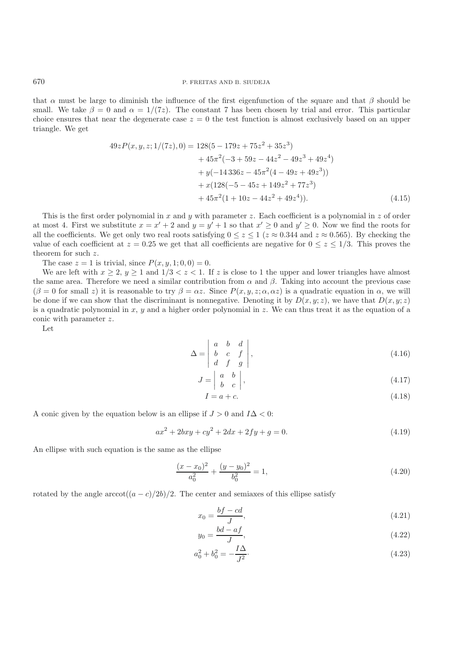that  $\alpha$  must be large to diminish the influence of the first eigenfunction of the square and that  $\beta$  should be small. We take  $\beta = 0$  and  $\alpha = 1/(7z)$ . The constant 7 has been chosen by trial and error. This particular choice ensures that near the degenerate case  $z = 0$  the test function is almost exclusively based on an upper triangle. We get

$$
49zP(x, y, z; 1/(7z), 0) = 128(5 - 179z + 75z2 + 35z3)
$$
  
+ 45 $\pi$ <sup>2</sup>(-3 + 59z - 44z<sup>2</sup> - 49z<sup>3</sup> + 49z<sup>4</sup>)  
+  $y(-14336z - 45\pi2(4 - 49z + 49z3))$   
+  $x(128(-5 - 45z + 149z2 + 77z3)$   
+  $45\pi2(1 + 10z - 44z2 + 49z4)).$  (4.15)

This is the first order polynomial in x and y with parameter z. Each coefficient is a polynomial in z of order at most 4. First we substitute  $x = x' + 2$  and  $y = y' + 1$  so that  $x' \ge 0$  and  $y' \ge 0$ . Now we find the roots for all the coefficients. We get only two real roots satisfying  $0 \le z \le 1$  ( $z \approx 0.344$  and  $z \approx 0.565$ ). By checking the value of each coefficient at  $z = 0.25$  we get that all coefficients are negative for  $0 \le z \le 1/3$ . This proves the theorem for such z.

The case  $z = 1$  is trivial, since  $P(x, y, 1; 0, 0) = 0$ .

We are left with  $x > 2$ ,  $y > 1$  and  $1/3 < z < 1$ . If z is close to 1 the upper and lower triangles have almost the same area. Therefore we need a similar contribution from  $\alpha$  and  $\beta$ . Taking into account the previous case  $(\beta = 0$  for small z) it is reasonable to try  $\beta = \alpha z$ . Since  $P(x, y, z; \alpha, \alpha z)$  is a quadratic equation in  $\alpha$ , we will be done if we can show that the discriminant is nonnegative. Denoting it by  $D(x, y; z)$ , we have that  $D(x, y; z)$ is a quadratic polynomial in x, y and a higher order polynomial in z. We can thus treat it as the equation of a conic with parameter z.

Let

$$
\Delta = \begin{vmatrix} a & b & d \\ b & c & f \\ d & f & g \end{vmatrix}, \tag{4.16}
$$

$$
J = \begin{vmatrix} a & b \\ b & c \end{vmatrix}, \tag{4.17}
$$

$$
I = a + c.\tag{4.18}
$$

A conic given by the equation below is an ellipse if  $J > 0$  and  $I\Delta < 0$ :

$$
ax^{2} + 2bxy + cy^{2} + 2dx + 2fy + g = 0.
$$
\n(4.19)

An ellipse with such equation is the same as the ellipse

$$
\frac{(x-x_0)^2}{a_0^2} + \frac{(y-y_0)^2}{b_0^2} = 1,
$$
\n(4.20)

rotated by the angle  $arccot((a - c)/2b)/2$ . The center and semiaxes of this ellipse satisfy

$$
x_0 = \frac{bf - cd}{J},\tag{4.21}
$$

$$
y_0 = \frac{bd - af}{J},\tag{4.22}
$$

$$
a_0^2 + b_0^2 = -\frac{I\Delta}{J^2}.\tag{4.23}
$$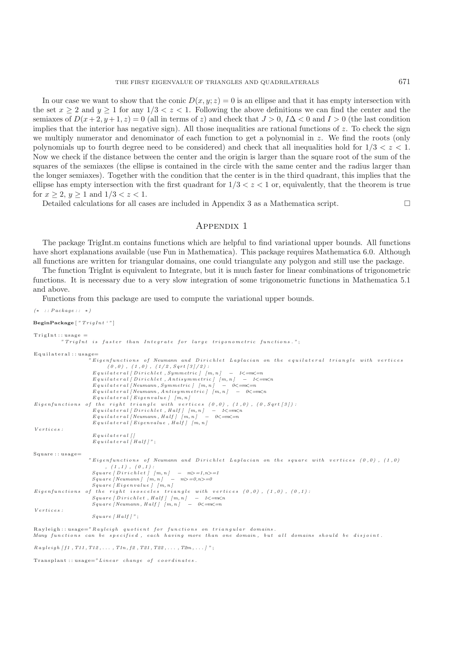In our case we want to show that the conic  $D(x, y; z) = 0$  is an ellipse and that it has empty intersection with the set  $x \ge 2$  and  $y \ge 1$  for any  $1/3 < z < 1$ . Following the above definitions we can find the center and the semiaxes of  $D(x+2, y+1, z) = 0$  (all in terms of z) and check that  $J > 0$ ,  $I\Delta < 0$  and  $I > 0$  (the last condition implies that the interior has negative sign). All those inequalities are rational functions of  $z$ . To check the sign we multiply numerator and denominator of each function to get a polynomial in z. We find the roots (only polynomials up to fourth degree need to be considered) and check that all inequalities hold for  $1/3 < z < 1$ . Now we check if the distance between the center and the origin is larger than the square root of the sum of the squares of the semiaxes (the ellipse is contained in the circle with the same center and the radius larger than the longer semiaxes). Together with the condition that the center is in the third quadrant, this implies that the ellipse has empty intersection with the first quadrant for  $1/3 < z < 1$  or, equivalently, that the theorem is true for  $x > 2$ ,  $y > 1$  and  $1/3 < z < 1$ .

Detailed calculations for all cases are included in Appendix 3 as a Mathematica script.  $\Box$ 

### Appendix 1

The package TrigInt.m contains functions which are helpful to find variational upper bounds. All functions have short explanations available (use Fun in Mathematica). This package requires Mathematica 6.0. Although all functions are written for triangular domains, one could triangulate any polygon and still use the package.

The function TrigInt is equivalent to Integrate, but it is much faster for linear combinations of trigonometric functions. It is necessary due to a very slow integration of some trigonometric functions in Mathematica 5.1 and above.

Functions from this package are used to compute the variational upper bounds.

```
(∗ : : Package : : ∗)
BeginPackage [ "TrigInt '" ]
Triofnt \cdotsusage ="TrigInt is faster than Integrate for large trigonometric functions ." ;
Equilateral::usage=i Eigenfunctions of Neumann and Dirichlet Laplacian on the equilateral triangle with vertices
                             (0 ,0) , (1 ,0) , (1/2 , Sqrt [3]/2) :
                       E q u i l a t e r a l [ D i r i c h l e t , Symmetric ] [m, n ] − 1<=m<=n
                       E q u i l a t e r a l [ D i r i c h l e t , Ant isymmetr ic ] [m, n ] − 1<=m<n
                       E q u i l a t e r a l [ Neumann , Symmetric ] [m, n ] − 0<=m<=n
E q u i l a t e r a l [ Neumann , An t is ymm e t r i c ] [m, n ] − 0<=m<n
                       E q u i l a t e r a l [ E ig en va lu e ] [m, n ]
Eigenfunctions of the right triangle with vertices (0,0), (1,0), (0, Sqrt[3]):<br>
<i>Equilateral [Dirichlet, Half ] [m,n] − 1<=m<n
                       Equilateral [Neumann, Half] [m, n] − 0 \lt = m\lt = nE q u i l a t e r a l [ E ig en va lu e , H a l f ] [m, n ]
Vertices :
                       Equilateral []
                      Equilateral [ Half ]" ;
Square :: nsage=
                      " Eigenfunctions of Neumann and Dirichlet Laplacian on the square with vertices (0,0), (1,0), (1 ,1) , (0 ,1) :
                       Square [Dirichlet] [m, n] - m > =1, n > =1Square [ Neumann ] [m, n] – m > =0,n > =0
                      Square [ E i g en v a lu e ] [ m, n ]
Eigenfunctions of the right isosceles triangle with vertices (0 ,0) , (1 ,0) , (0 ,1) :
                       Square | Dirichlet | Half | [m, n] - 1 \le m \le nSquare [Neumann, Half] [m, n] – 0 \le m \le -nVertices :
                      Square [ Half ] " ;
```
 $Rayleigh::usage=" Rayleigh~~quotient~~ for~~ functions~~on~~triangular~~ domains.$ *Many functions can be specified, each having more than one domain, but all domains should be disjoint.* 

*R a y l e i g h [ f1 , T11 , T12 , . . . , T1n , f2 , T21 , T22 , . . . , T2m , . . . ] "* ;

Transplant : : usage=*"Linear change of coordinates .*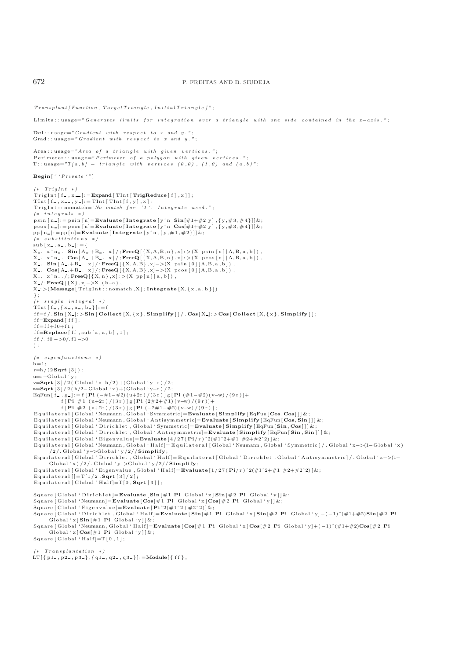```
Transplant [ Function , TargetTriangle , Ini tia lT r iang l e ]" ;
Limits:: usage="Generates limits for integration over a triangle with one side contained in the x−axis.";
Del : : usage="Gradient with respe ct to x and y . " ;
Grad : : usage="Gradient with resp ec t to x and y . " ;
Area : : usage="Area of a triangle with given vertices.";<br>Perimeter : : usage="Perimeter of a polygon with given vertices.";
T:: usage=T/a, b} - triangle with vertices (0,0), (1,0) and (a, b)";
Begin [ " 'Private '" ]
(∗ TrigInt ∗)
TrigInt[f_-,x_+] :=\n<b>Expand</b>[TInt[TrigReduce[f],x]];\text{TInt} \left[ \begin{array}{c} f \\ g \\ h \end{array} \right], x_-, y_- \left] := \text{TInt} \left[ \begin{array}{c} \text{TInt} \left[ \begin{array}{c} f \\ g \end{array} \right], x \right],TrigInt::nomatch="No match for '1'. Integrate used.";
(∗ integrals ∗)
psin [n] := p \sin[n] = \text{Evaluate} [\text{Integrate} [y^n \text{ Sin}[\#1+\#2 y], \{y, \#3, \#4\}]]\&;\text{p}\cos\left[n\right] := \text{p}\cos\left[n\right] = \text{Evaluate} \left[\text{Integrate}\left[y\right]\text{ in } \text{Cos}[\#1+\#2 \text{ y}\right], \{y, \#3, \#4\}\right] \&;\texttt{pp} \left[ \left. \texttt{n\_} \right \right] := \texttt{pp} \left[ \left. \texttt{n} \right \rfloor = \texttt{Evaluate} \left[ \left. \texttt{Integrate} \left[ \texttt{y `n} \right., \left\{ \texttt{y}, \# \texttt{1}, \# \texttt{2} \right\} \right] \right] \& \, ;(∗ substitutions ∗)
sub [ x_-, a_-, b_- ] := \{X . xˆn . Sin [ A .+B . x]/; FreeQ [ {X,A,B, n} ,x]: >(X ps in [ n ] [ A,B, a , b ] ) ,
X . xˆn . Cos [ A .+B . x]/; FreeQ [ {X,A,B, n} ,x]: >(X pcos [ n ] [ A,B, a , b ] ) ,
X . Sin [ A .+B . x]/; FreeQ [ {X,A,B} ,x]−>(X p s i n [ 0 ] [ A, B , a , b ] ) ,
X . Cos [ A .+B . x]/; FreeQ [ {X,A,B} ,x]−>(X p cos [ 0 ] [ A, B , a , b ] ) ,
X_ . x^n n . /; FreeQ[{X, n}, x]:>(X, pp[n][a, b]),
X / ; FreeQ [ {X} , x]−>X (b−a) ,
X : >(Message [ Tr igInt : : nomatch ,X ] ; Integrate [X, { x,a,b } ] )
} ;
    (∗ single integral ∗)
TInt [f_-, {x_-, a_-, b_-}] := (f = f / . Sin [X_1] : > Sin [</math> Collect <math>[X, \{x\}, Simplify]] / . Cos[X_1] : > Cos[</math> Collect <math>[X, \{x\}, Simplify]];
ff=Expand [ff];
f = f + f + f + f + f :
\mathbf{f} = \mathbf{Replace} [\mathbf{f} \mathbf{f}, \mathbf{sub} \mathbf{x}, \mathbf{a}, \mathbf{b} \mathbf{e} \mathbf{f}, \mathbf{1}];f f /. f0 −>0/. f1−>0
) ;
(∗ eigenfunctions ∗)
h=1:
r=h/(2 Sqrt[3]);
u=r−Global ' y ;
v=Sqrt [3 ]/2( Global 'x−h /2)+(Global ' y−r) /2;
w=Sqrt [ 3 ] / 2 ( h/2−Global ' x )+(Global ' y−r) /2;
EqFun[ f_{-} , g_{-} ] := f [ Pi ( - \#1 - \#2) ( u + 2r) / (3r) ] g [ Pi ( \#1 - \#2) ( v - w) / (9r) ] +f [ Pi # 1 ( u+2r ) /(3 r ) ] g [ Pi (2#2+#1) ( v−w) /(9 r ) ]+
f [ Pi # 2 ( u+2r ) /(3 r ) ] g [ Pi (−2#1−#2) ( v−w) /(9 r ) ] ;
E q u i l a t e r a l [ G loba l ' Neumann , G loba l ' Symmetric ]=Evaluate [ Simplify [ EqFun [ Cos , Cos ]]]&;
E q u i l a t e r a l [ G loba l ' Neumann , G loba l ' An t i symm e t r i c]=Evaluate [ Simplify [ EqFun [ Cos , Sin ]]]&;
 Equ i latera l [ Global ' D ir i ch let , Global ' Symmetric ]=Evaluate [ Simplify [ EqFun [ Sin , Cos ]]]&;
 Equilateral [ Global ' Dirichlet , Global ' Antisymmetric]= Evaluate [ Simplify [EqFun[Sin , Sin ]]] & ;<br>Equilateral [ Global ' Eigenvalue]= Evaluate [4/27( Pi/r ) ^2(#1^2+#1  #2+#2^2)] & ;
E q u i l a t e r a l [ G loba l ' Neumann , G loba l ' H a l f ]= E q u i l a t e r a l [ G loba l ' Neumann , G loba l ' Symmetric ] / . G loba l ' x−>(1−Global ' x)
        /2/. Global 'y−>Global ' y/2// Simplify ;
Equ i lat era l [ Global ' D ir i ch let , Global ' Half ]= Equ i lat era l [ Global ' D ir ich let , Global ' Antisymmetric ] / . Global ' x−>(1−
       Global ' x) /2/. Global 'y−>Global ' y/2// Simplify ;
Equ i lat era l [ Global ' Eigenvalue , Global ' Half ]=Evaluate [1/27( Pi/ r ) ˆ2(#1ˆ2+#1 #2+#2ˆ2) ]& ;
Equilateral []=T[1/2,Sqrt[3]/2];
Equilateral [Global 'Half] = T[0, Sqrt [3]];Square [Global 'Dirichlet]=Evaluate [Sin [#1 Pi Global 'x] Sin [#2 Pi Global 'y]] &;
Square [ G loba l ' Neumann]=Evaluate [ Cos[#1 Pi Global ' x ] Cos[#2 Pi Global ' y ] ]& ;
Square [ Global ' Eigenvalue]=Evaluate [ Piˆ2(#1ˆ2+#2ˆ2) ]& ;
Square [ Global ' D ir ich let , Global ' Half ]=Evaluate [ Sin [#1 Pi Global ' x ] Sin [#2 Pi Global ' y]−(−1)ˆ(#1+#2)Sin [#2 Pi
Global'x]Sin[#1 Pi Global'y]]&;<br>Square[Global'Neumann,Global'Half]=Evaluate[Cos[#1 Pi Global'x]Cos[#2 Pi Global'y]+(-1)^(#1+#2)Cos[#2 Pi
       Global 'x \text{Cos}[\#1 \text{ Pi} \text{ Global ' } y] | &;
Square [Global' half] = T[0, 1];
```
*(*∗ *Transplantation* ∗*)*

LT  $[\{p1, p2, p3, \} , \{q1, q2, q3, \}]$ :=**Module**  $[\{ff\},$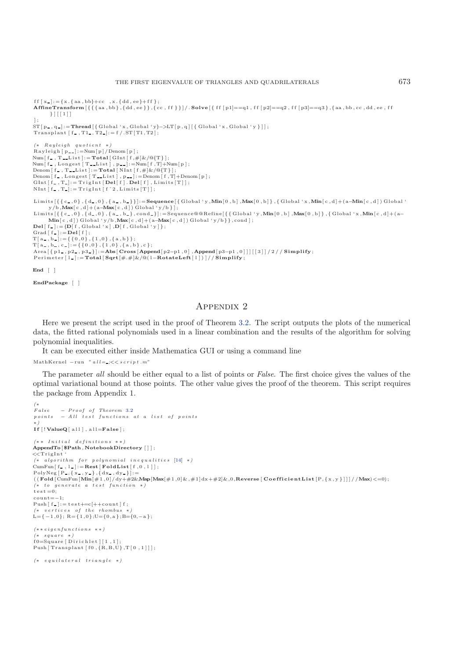```
ff [x_+] := \{x, \{aa, bb\} + cc \; , x, \{dd, ee\} + ff \};
AffineTransform [{{{aa , bb} ,{dd , ee }} ,{ cc , f f } } ]/. Solve [ { f f [ p1]==q1 , f f [ p2]==q2 , f f [ p3]==q3 } ,{ aa , bb , cc , dd , ee , f f
          } ][[1]]
];<br>ST[p-,q-]:=Thread [{ Global 'x, Global 'y}−>LT[p,q] [{ Global 'x, Global 'y }]];
\label{eq:trans} \begin{aligned} \operatorname{Transplant}\left[\begin{smallmatrix} f_- \end{smallmatrix}, T1_-, T2_- \right] &:= f \mathbin{/}. \operatorname{ST}\left[\begin{smallmatrix} T1 \end{smallmatrix}, T2 \right]; \end{aligned}(∗ Rayleigh quotient ∗)
Rayleigh [p_+] := Num[p]/Denom[p];
\text{Num}\left[\text{ f }_{\text{--}}\text{ , T }_{\text{--}}\text{List}\right] := \textbf{Total}\left[\text{ GInt}\left[\text{ f }, \#\right] \& \text{/} \text{@}\{\text{T}\}\right];Num [f_, Longest [ T__List ], p__]:=Num [f, T]+Num [p ];<br>Denom [f_, T__List ]:=Total [NInt [f, #]&/@{T} ];
Denom [f_,Longest [T_List], p__]:=Denom [f,T]+Denom [p];<br>GInt [f_,T_]:=TrigInt [Del[f]. Del[f],Limits [T]];
NInt [f_-,T_-]: = TrigInt [f^2, \text{Limits}[T]];
Limits [{ { c , 0} , { d , 0} , { a , b }}]:=Sequence [ { Global ' y ,Min[0 ,b] ,Max[0 ,b] } , { Global 'x ,Min[ c ,d]+(a−Min[ c , d ]) Global '
 y/b,Max[c,d]+(a–Max[c,d])Global'y/b}];<br>Limits[{{c_,0},{d_,0},{a_,b_},cond_}]:=Sequence@@Refine[{{Global'y,Min[0,b],Max[0,b]},{Global'x,Min[c,d]+(a–
          Min[ c , d ] ) Global ' y/b ,Max[ c ,d]+(a−Max[ c , d ]) Global ' y/b}} , cond ] ;
\text{Del}[\text{f} = \text{[} \text{D}[\text{f} , Global ' x ] , \text{D}[\text{f} , Global ' y ]\} ;
Grad [ f \_ ] : = \mathbf{Del} [ f ] ;
T[a_-, b_-] := \{ \{ 0, 0 \}, \{ 1, 0 \}, \{ a, b \} \};T\left[\!\begin{array}{c} \texttt{a}_{-}\,,\, \texttt{b}_{-}\,,\, \texttt{c}_{-}\!\end{array}\!\right] \!:=\! \left\{\!\left\{\!\begin{array}{c} \texttt{0}\,,\texttt{0}\,\right\},\left\{\!\begin{array}{c} \texttt{1}\,,\texttt{0}\,\right\},\left\{\!\begin{array}{c} \texttt{a}\,,\,\texttt{b}\,\right\},\texttt{c}\,\right\}; \end{array}\!\right.Area[{p1_,p2_,p3_}]:=Abs[Cross[Append[p2–p1,0],Append[p3–p1,0]]][[3]]/2//Simplify;<br>Perimeter[1_]:=Total[Sqrt[#.#]&/@(1–RotateLeft[1])]//Simplify;
End [ ]
```

```
EndPackage [ ]
```
# Appendix 2

Here we present the script used in the proof of Theorem [3.2.](#page-1-1) The script outputs the plots of the numerical data, the fitted rational polynomials used in a linear combination and the results of the algorithm for solving polynomial inequalities.

It can be executed either inside Mathematica GUI or using a command line

```
MathKernel -\text{run} " all= \div \times script.m"
```
The parameter *all* should be either equal to a list of points or *False*. The first choice gives the values of the optimal variational bound at those points. The other value gives the proof of the theorem. This script requires the package from Appendix 1.

```
(∗
False − Proof of Theorem3.2
points – All test functions at a list of points
∗)
I f [ ! ValueQ[ al l ] , a ll=False ] ;
(∗ ∗ Initial definitions ∗ ∗)
AppendTo[ $Path , NotebookDirectory []];
<<TrigInt '
(∗ algorithm for polynomial inequa lities [14] ∗)
CumFun [ f , l ]:=Rest [ FoldList [ f ,0 , l ] ] ;
\texttt{PolyNeg}\left[\,P_{\,\text{-}}, \{\,\text{x}_{\,\text{-}},\, \text{y}_{\,\text{-}}\,\} \,, \{\,\text{dx}_{\,\text{-}},\, \text{dy}_{\,\text{-}}\,\}\,\right] \!:=\!((\text{Fold} \left[ \text{CumFun}[\text{Min}[\#1,0] / dy + \#2\&\text{Map}[\text{Max}[\#1,0]\&,\#1]dx+\#2]\&,0,\text{Reverse}[\text{CoefficientList}[\text{P},\{x,y\}]]]/\text{/Max}) < 0)(∗ to generate a test function ∗)
t \text{ es } t = 0;
count=-1:
\text{Push} [f_{\blacksquare}] := \text{test} += \text{c}[++\text{count}] f ;<br>
(\text{* vertices of the rhombus *})\mathbf{L}\!=\!\{-1\,,0\}\,;\;\mathbf{R}\!=\!\{1\,,0\}\,;\mathbf{U}\!=\!\{0\,,\mathbf{a}\,\}\,;\mathbf{B}\!=\!\{0,-\mathbf{a}\,\}\,;(∗ ∗ eigenfunctions ∗ ∗)
  (∗ square ∗)
f0 = Square [Dirichlet][1,1];
Push \lceil Transplant \lceil f0 , \{R,B,U\} , T\lceil 0 , 1 \rceil \rceil ;
(∗ equilateral triangle ∗)
```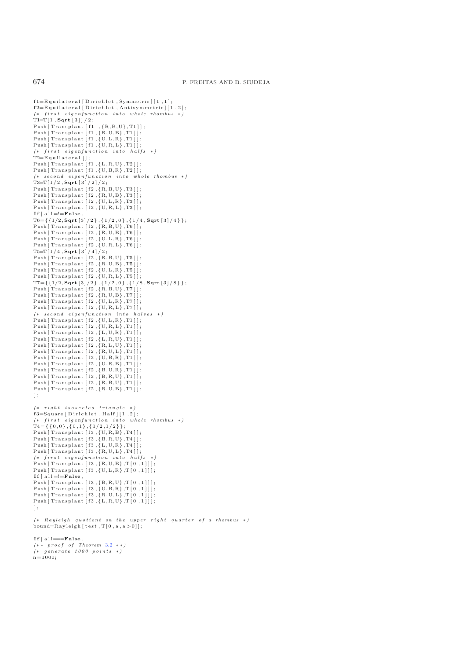$f1=E$  quilateral [Dirichlet, Symmetric  $|1,1|$ ;  $f2=E$  quilateral [Dirichlet, Antisymmetric] [1,2]; *(*∗ *f i r s t e igen func tion into whole rhombus* ∗*)* T1=T [ 1 , **Sqrt** [3]]/2;  $Push[Transplant[f1, {R,B,U}, T1]]$ ; Push [ Transplant [ f1 , {R,U,B} ,T1 ] ] ; Push [ Transplant [ f1 , {U,L ,R} ,T1 ] ] ; Push  $\Gamma$  Transplant  $\left[ f1, \left\{ U, R, L \right\}, T1 \right]$  ; *(*∗ *f irs t eigenfunction into halfs* ∗*)*  $T2=E$  quilateral  $[$  ; Push [ Transplant [ f1 , {L ,R,U} ,T2 ] ] ; Push [ Transplant [ f1 , {U,B,R} ,T2 ] ] ; *(*∗ *second eigenfunct ion into whole rhombus* ∗*)* T3=T [ 1 / 2 , **Sqrt** [3]/2]/2;  $Push [Transforming the function of the function of the function of the function.$  $Push[Transplant[f2,\{R,U,B\},T3]]$ ; Push  $[Transformmath>[f2, \{U, L, R\}, T3]]$ Push [Transplant [f2, {U,R, L}, T3]];  $\mathbf{If} \begin{bmatrix} \text{all} = \text{F} \text{alse} \end{bmatrix}$ T6={{1/2, **Sqrt** [3]/2} , { 1/2 ,0} , { 1/4 , **Sqrt** [3]/4 } } ;  $Push [Transport1, 1/2, {R, B, U}, T6 ]$ ; Push [ Transplant [ f2 , {R,U,B} ,T6 ] ] ;  ${\tt Push[Transportant [f2\;, \{U,L,R\}\,,T6\,]]}$ Push  $\lceil$  Transplant  $\lceil$  f2,  $\{$  U, R, L $\}$ , T6 $\rceil$  ; T5=T [ 1 / 4 , **Sqrt** [3]/4]/2; Push [ Transplant [ f2 , {R,B,U} ,T5 ] ] ; Push  $\lceil$  Transplant  $\lceil$  f2 ,  $\{R, U, B\}$ , T5 $\rceil$  ];  $Push [Transport]$   $[ f2, \{U, L, R\}, T5 ] ]$ Push [ Transplant [  $f2$  ,  $\{U,R,L\}$  ,  $T5$  ] ]; T7={{1/2, **Sqrt** [3]/2} , { 1/2 ,0} , { 1/8 , **Sqrt** [3]/8 } } ; Push [ Transplant [ f2 , {R,B,U} ,T7 ] ] ; Push  $\lceil$  Transplant  $\lceil$  f2 ,  $\lceil$  R, U, B $\rceil$  , T7  $\rceil$  ;  $Push[Transport]$  [f2,  $\{U, L, R\}$ ,  $T7$ ]];  $Push[Transplant[f2,\{U,R,L\},T7]]$ *(*∗ *second eigenfunction into halves* ∗*)* Push [ Transplant [ f2 , {U,L ,R} ,T1 ] ] ; Push  $\lceil$  Transplant  $\lceil$  f2 ,  $\{$  U, R, L  $\}$ , T1  $\rceil$  ; Push  $\Gamma$ ransplant  $\left[ f2, \{L, U, R\}, T1 \right]$ Push  $[Transplant [f2, {L, R, U}, T1]]$ ;  $Push[Transplant[f2,\{R,L,U\},T1]]$ ;  $Push[Transplant[f2,\{R,U,L\},T1]]$ ; Push [ Transplant [ f2 , {U,B,R} ,T1 ] ] ; Push [ Transplant [ f2 , {U,R,B} ,T1 ] ] ; Push [ Transplant [ f2 , {B,U,R} ,T1 ] ] ; Push [ Transplant [ f2 , {B,R,U} ,T1 ] ] ;  $Push[Transplant[f2, {R,B,U}, T1]];$  $Push[Transplant[f2,\{R,U,B\},T1]]$ ;  $\mathbf{1}$  : *(*∗ *right isosceles triangle* ∗*)*  $f3 = Square [Dirichlet, Half][1, 2];$ *(*∗ *f i r s t e igen func tion into whole rhombus* ∗*)*  $T4 = \{ \{ 0, 0 \}, \{ 0, 1 \}, \{ 1/2, 1/2 \} \};$ Push [ Transplant [ f3 , {U,R,B} ,T4 ] ] ; Push [ Transplant [ f3 , {B,R,U} ,T4 ] ] ;  $Push [TransportIn [f3, {L, U, R}, T4]];$ Push  $Transplant [f3, {R, U, L}, T4]]$ ; *(*∗ *f irs t eigenfunction into halfs* ∗*)*  $Push[Transplant [f3, {R, U, B}, T[0, 1]]];$ Push  $[Transplant [f3, {U, L, R}, T[0, 1]]];$  $If [a] = |= False$ ,  $Push [Transport [f3, {B,R,U}, T[0,1]]];$ Push [ Transplant [ f3 , {U,B,R} ,T [ 0 , 1 ] ] ] ; Push [ Transplant [ f3 , {R,U,L} ,T [ 0 , 1 ] ] ] ;  $Push[Transplant [f3, {L, R, U}, T[0, 1]]];$  $\overline{1}$  ; *(*∗ *Rayleigh quotient on the upper right quarter of a rhombus \*)*<br>bound=Rayleigh[test ,T[0,a,a>0]]; **I f** [ a l l===**False** ,  $(* * \text{ proof of Theorem 3.2} **)$  $(* * \text{ proof of Theorem 3.2} **)$  $(* * \text{ proof of Theorem 3.2} **)$ 

*(*∗ *generate 1000 points* ∗*)*  $n=1000$ :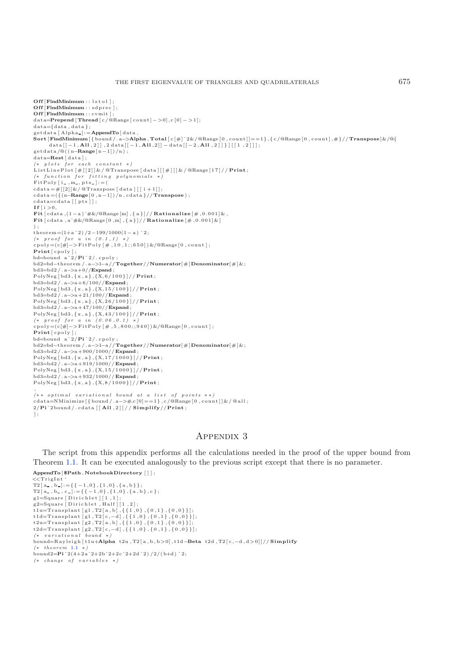**Off** [**FindMinimum** :: lstol ]; **Off** [**FindMinimum** : : sdprec ] ; **Off** [**FindMinimum** : : cvmit ] ; d ata=**Prepend** [ **Thread** [ c /@Range [ count ] − *>*0] ,c [0] − *>*1];  $data = \{data, data\}$ ; getdata [ Alpha ]:=**AppendTo**[ data , **Sort** [**FindMinimum**[ { bound / . a−*>***Alpha** , **Total** [ c [#]ˆ2&/@Range [ 0 , count ] ]==1} ,{ c /@Range [ 0 , count ] ,#}//**Transpose**]&/@{ data [[ −1 , **All** ,2 ] ] ,2 data [[ −1 , **All** ,2]] − data [[ −2 , **All** ,2]] } ][[1 ,2]]]; g e t d a t a /@( ( n−**Range**[ n−1])/n) ; d ata=**Rest** [ data ] ; *(\* plots for each constant \*)*<br>ListLinePlot [#[[2]]&/ @Transpose [data][[#]]]&/ @Range[17]// **Print**; *(*∗ *function for f i tt ing polynomials* ∗*)*  $FitPoly[i, m, pts] := ($  $cdata = \#[[2]] \& \sqrt{\mathbf{Q}}$ Transpose [data] [[i +1]];  $\text{cdata}=(\{(n-\text{Range}[0, n-1])/n, \text{cdata} \}//\text{Transpose})$ ;  $cdata = cdata$  [ [ p t s ] ];  $\mathbf{If}$   $\mathbf{f}$   $\mathbf{i}$   $>0$ . **Fit** [ cdata ,(1 − a )ˆ#&/@Range [m] , { a }]// **Rationalize** [# ,0.001]& , **Fit**  $\lceil \text{cdata }, \text{a} \hat{\mathcal{H}} \mathcal{L}/\mathcal{Q} \text{Range} \left[ 0, m \right], \{ \text{a} \} \rceil / / \text{Rationalize} \left[ \text{#}, 0.001 \right] \mathcal{L} \rceil$ ) ; theorem=(1+a ˆ2) /2−199/1000(1− a) ˆ2; *(\* proof for a in (0.1,1) \*)*<br>cpoly=(c[#]−>FitPoly[#,10,1;;650])&/@Range[0,count]; **Print** [ cpoly ] ; bd=bound a ˆ2/**Pi** ˆ2/. cpoly ; bd2=bd−theorem /.a−*>*1−a//**Together**//**Numerator**[#]**Denominator**[#]&; bd3=bd2 / . a−*>*a+0//**Expand** ; PolyNeg [ bd3 , { x,a } ,{X, 6/100} ]// **Print** ; bd3=bd2 / . a−*>*a+6/100//**Expand** ; PolyNeg [ bd3 , { x,a } ,{X, 15/100} ]// **Print** ; bd3=bd2 / . a−*>*a+21/100//**Expand** ; PolyNeg [ bd3 , { x,a } ,{X, 26/100} ]// **Print** ; bd3=bd2 / . a−*>*a+47/100//**Expand** ; PolyNeg [ bd3 , { x,a } ,{X, 43/100} ]// **Print** ; *(*∗ *proof for a in (0.06 ,0.1)* ∗*)* cpoly=(c[#]−>FitPoly [#, 5,800;;940])&/@Range [0, count ]; **Print** [ cpoly ] ; bd=bound a ˆ2/**Pi** ˆ2/. cpoly ; bd2=bd−theorem /.a−*>*1−a//**Together**//**Numerator**[#]**Denominator**[#]&; bd3=bd2 / . a−*>*a+900/1000// **Expand** ; PolyNeg [ bd3 , { x,a } ,{X, 17/1000} ]// **Print** ; bd3=bd2 / . a−*>*a+919/1000// **Expand** ; PolyNeg [ bd3 , { x,a } ,{X, 15/1000} ]// **Print** ; bd3=bd2 / . a−*>*a+932/1000// **Expand** ; PolyNeg [ bd3 , { x,a } ,{X, 8/1000} ]// **Print** ; ,  $(* * optimal variational bound at a list of points **)$ cd ata=NMin imize [ { bound / . a−*>*#,c [0 ]==1} , c /@Range [ 0 , count ] ]& / @ a l l ; 2/**Pi**ˆ2bound / . cdata [ [ **All** ,2]]// **Simplify**//**Print** ; ] ;

# Appendix 3

The script from this appendix performs all the calculations needed in the proof of the upper bound from Theorem [1.1.](#page-1-0) It can be executed analogously to the previous script except that there is no parameter.

```
AppendTo[ $Path , NotebookDirectory []];
<<TrigInt '
\mathrm{T2}\left[\begin{smallmatrix} \mathrm{a}_{-} \end{smallmatrix}\right],\mathrm{b}_{-}\right] \!:=\! \left\{\left\{\begin{smallmatrix} -1 \end{smallmatrix},0\right\},\left\{\begin{smallmatrix} 1 \end{smallmatrix},0\right\},\left\{\begin{smallmatrix} \mathrm{a} \end{smallmatrix},\mathrm{b}\left\}\right\}\right\};\mathsf{T2} \left[ \, \texttt{a\_}, \, \texttt{b\_}, \, \texttt{c\_} \right] \! := \! \left\{ \, \left\{ \, -1 \, , \texttt{0} \, \right\}, \left\{ \, 1 \, , \texttt{0} \, \right\}, \left\{ \, \texttt{a\_}, \, \texttt{b} \, \right\}, \, \texttt{c} \, \, \right\};g1 = Square [Dirichlet] [1, 1];g2 =Square [Dirichlet, Half][1,2]
t1u=Transplant [g1, T2[a, b], { {1,0}, {0,1}, {0,0} }];
 t1d=Transplant [g1 ,T2[c,−d] ,{{1 ,0},{0 ,1},{0 ,0}}];
 t2u=Tran splant [g2, T2[a, b], { { 1, 0 }, { 0, 1 }, { 0, 0 } } ];
t2d=Transplant [g2, T2[c, -d], \{\{1,0\}, \{0,1\}, \{0,0\}\}],(∗ va r ia t iona l bound ∗)
bound=R a y l e i gh [ t1u+Alpha t2u , T2 [ a , b , b>0] ,t1d−Beta t2d , T2 [ c ,−d,d >0]]// Simplify
(∗ theorem 1.1 ∗)
bound2=\text{Pi}^2(4+2a^2+2b^2+2c^2+2d^2)/2/(b+d)<sup>2</sup>;
(∗ change of var iab les ∗)
```